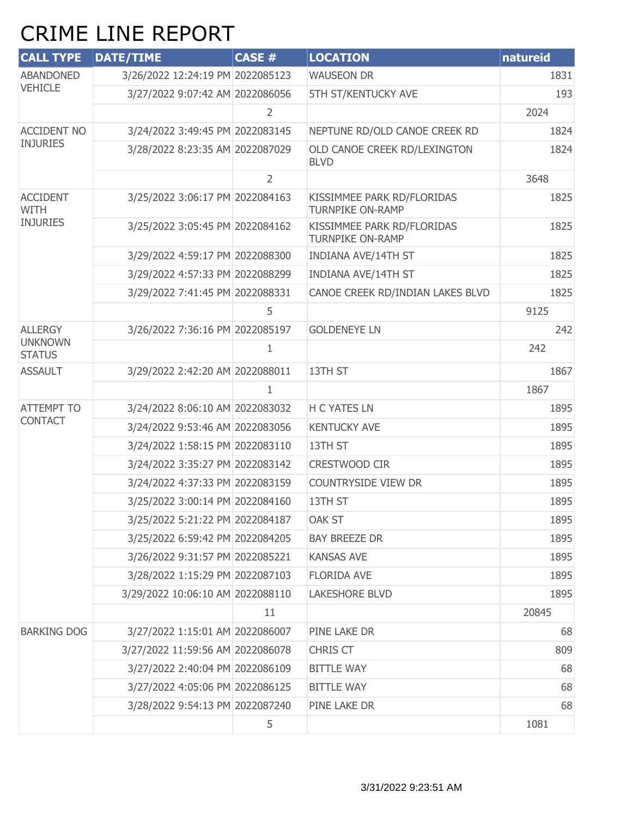## CRIME LINE REPORT

| <b>CALL TYPE</b>                | <b>DATE/TIME</b>                 | CASE #         | <b>LOCATION</b>                                       | natureid |
|---------------------------------|----------------------------------|----------------|-------------------------------------------------------|----------|
| <b>ABANDONED</b>                | 3/26/2022 12:24:19 PM 2022085123 |                | <b>WAUSEON DR</b>                                     | 1831     |
| <b>VEHICLE</b>                  | 3/27/2022 9:07:42 AM 2022086056  |                | 5TH ST/KENTUCKY AVE                                   | 193      |
|                                 |                                  | $\overline{2}$ |                                                       | 2024     |
| <b>ACCIDENT NO</b>              | 3/24/2022 3:49:45 PM 2022083145  |                | NEPTUNE RD/OLD CANOE CREEK RD                         | 1824     |
| <b>INJURIES</b>                 | 3/28/2022 8:23:35 AM 2022087029  |                | OLD CANOE CREEK RD/LEXINGTON<br><b>BLVD</b>           | 1824     |
|                                 |                                  | $\overline{2}$ |                                                       | 3648     |
| <b>ACCIDENT</b><br><b>WITH</b>  | 3/25/2022 3:06:17 PM 2022084163  |                | KISSIMMEE PARK RD/FLORIDAS<br><b>TURNPIKE ON-RAMP</b> | 1825     |
| <b>INJURIES</b>                 | 3/25/2022 3:05:45 PM 2022084162  |                | KISSIMMEE PARK RD/FLORIDAS<br><b>TURNPIKE ON-RAMP</b> | 1825     |
|                                 | 3/29/2022 4:59:17 PM 2022088300  |                | <b>INDIANA AVE/14TH ST</b>                            | 1825     |
|                                 | 3/29/2022 4:57:33 PM 2022088299  |                | <b>INDIANA AVE/14TH ST</b>                            | 1825     |
|                                 | 3/29/2022 7:41:45 PM 2022088331  |                | CANOE CREEK RD/INDIAN LAKES BLVD                      | 1825     |
|                                 |                                  | 5              |                                                       | 9125     |
| <b>ALLERGY</b>                  | 3/26/2022 7:36:16 PM 2022085197  |                | <b>GOLDENEYE LN</b>                                   | 242      |
| <b>UNKNOWN</b><br><b>STATUS</b> |                                  | $\mathbf{1}$   |                                                       | 242      |
| <b>ASSAULT</b>                  | 3/29/2022 2:42:20 AM 2022088011  |                | 13TH ST                                               | 1867     |
|                                 |                                  | $\mathbf{1}$   |                                                       | 1867     |
| <b>ATTEMPT TO</b>               | 3/24/2022 8:06:10 AM 2022083032  |                | <b>H C YATES LN</b>                                   | 1895     |
| <b>CONTACT</b>                  | 3/24/2022 9:53:46 AM 2022083056  |                | <b>KENTUCKY AVE</b>                                   | 1895     |
|                                 | 3/24/2022 1:58:15 PM 2022083110  |                | 13TH ST                                               | 1895     |
|                                 | 3/24/2022 3:35:27 PM 2022083142  |                | CRESTWOOD CIR                                         | 1895     |
|                                 | 3/24/2022 4:37:33 PM 2022083159  |                | COUNTRYSIDE VIEW DR                                   | 1895     |
|                                 | 3/25/2022 3:00:14 PM 2022084160  |                | 13TH ST                                               | 1895     |
|                                 | 3/25/2022 5:21:22 PM 2022084187  |                | <b>OAK ST</b>                                         | 1895     |
|                                 | 3/25/2022 6:59:42 PM 2022084205  |                | <b>BAY BREEZE DR</b>                                  | 1895     |
|                                 | 3/26/2022 9:31:57 PM 2022085221  |                | <b>KANSAS AVE</b>                                     | 1895     |
|                                 | 3/28/2022 1:15:29 PM 2022087103  |                | <b>FLORIDA AVE</b>                                    | 1895     |
|                                 | 3/29/2022 10:06:10 AM 2022088110 |                | <b>LAKESHORE BLVD</b>                                 | 1895     |
|                                 |                                  | 11             |                                                       | 20845    |
| <b>BARKING DOG</b>              | 3/27/2022 1:15:01 AM 2022086007  |                | PINE LAKE DR                                          | 68       |
|                                 | 3/27/2022 11:59:56 AM 2022086078 |                | <b>CHRIS CT</b>                                       | 809      |
|                                 | 3/27/2022 2:40:04 PM 2022086109  |                | <b>BITTLE WAY</b>                                     | 68       |
|                                 | 3/27/2022 4:05:06 PM 2022086125  |                | <b>BITTLE WAY</b>                                     | 68       |
|                                 | 3/28/2022 9:54:13 PM 2022087240  |                | PINE LAKE DR                                          | 68       |
|                                 |                                  | 5              |                                                       | 1081     |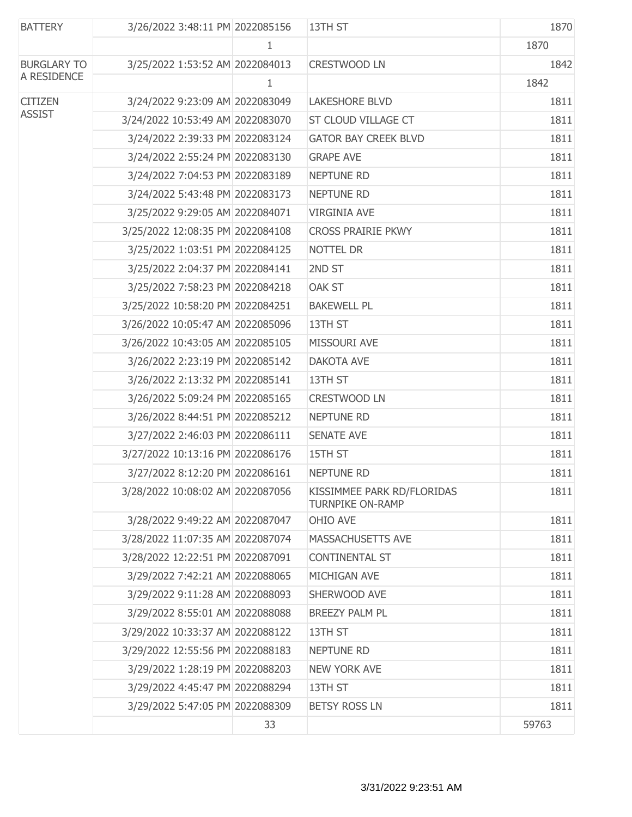| <b>BATTERY</b>     | 3/26/2022 3:48:11 PM 2022085156  |    | 13TH ST                                               | 1870  |
|--------------------|----------------------------------|----|-------------------------------------------------------|-------|
|                    |                                  | 1  |                                                       | 1870  |
| <b>BURGLARY TO</b> | 3/25/2022 1:53:52 AM 2022084013  |    | <b>CRESTWOOD LN</b>                                   | 1842  |
| A RESIDENCE        |                                  | 1  |                                                       | 1842  |
| <b>CITIZEN</b>     | 3/24/2022 9:23:09 AM 2022083049  |    | <b>LAKESHORE BLVD</b>                                 | 1811  |
| <b>ASSIST</b>      | 3/24/2022 10:53:49 AM 2022083070 |    | ST CLOUD VILLAGE CT                                   | 1811  |
|                    | 3/24/2022 2:39:33 PM 2022083124  |    | <b>GATOR BAY CREEK BLVD</b>                           | 1811  |
|                    | 3/24/2022 2:55:24 PM 2022083130  |    | <b>GRAPE AVE</b>                                      | 1811  |
|                    | 3/24/2022 7:04:53 PM 2022083189  |    | NEPTUNE RD                                            | 1811  |
|                    | 3/24/2022 5:43:48 PM 2022083173  |    | NEPTUNE RD                                            | 1811  |
|                    | 3/25/2022 9:29:05 AM 2022084071  |    | <b>VIRGINIA AVE</b>                                   | 1811  |
|                    | 3/25/2022 12:08:35 PM 2022084108 |    | <b>CROSS PRAIRIE PKWY</b>                             | 1811  |
|                    | 3/25/2022 1:03:51 PM 2022084125  |    | NOTTEL DR                                             | 1811  |
|                    | 3/25/2022 2:04:37 PM 2022084141  |    | 2ND ST                                                | 1811  |
|                    | 3/25/2022 7:58:23 PM 2022084218  |    | OAK ST                                                | 1811  |
|                    | 3/25/2022 10:58:20 PM 2022084251 |    | <b>BAKEWELL PL</b>                                    | 1811  |
|                    | 3/26/2022 10:05:47 AM 2022085096 |    | 13TH ST                                               | 1811  |
|                    | 3/26/2022 10:43:05 AM 2022085105 |    | MISSOURI AVE                                          | 1811  |
|                    | 3/26/2022 2:23:19 PM 2022085142  |    | <b>DAKOTA AVE</b>                                     | 1811  |
|                    | 3/26/2022 2:13:32 PM 2022085141  |    | 13TH ST                                               | 1811  |
|                    | 3/26/2022 5:09:24 PM 2022085165  |    | CRESTWOOD LN                                          | 1811  |
|                    | 3/26/2022 8:44:51 PM 2022085212  |    | <b>NEPTUNE RD</b>                                     | 1811  |
|                    | 3/27/2022 2:46:03 PM 2022086111  |    | <b>SENATE AVE</b>                                     | 1811  |
|                    | 3/27/2022 10:13:16 PM 2022086176 |    | 15TH ST                                               | 1811  |
|                    | 3/27/2022 8:12:20 PM 2022086161  |    | <b>NEPTUNE RD</b>                                     | 1811  |
|                    | 3/28/2022 10:08:02 AM 2022087056 |    | KISSIMMEE PARK RD/FLORIDAS<br><b>TURNPIKE ON-RAMP</b> | 1811  |
|                    | 3/28/2022 9:49:22 AM 2022087047  |    | OHIO AVE                                              | 1811  |
|                    | 3/28/2022 11:07:35 AM 2022087074 |    | MASSACHUSETTS AVE                                     | 1811  |
|                    | 3/28/2022 12:22:51 PM 2022087091 |    | <b>CONTINENTAL ST</b>                                 | 1811  |
|                    | 3/29/2022 7:42:21 AM 2022088065  |    | MICHIGAN AVE                                          | 1811  |
|                    | 3/29/2022 9:11:28 AM 2022088093  |    | SHERWOOD AVE                                          | 1811  |
|                    | 3/29/2022 8:55:01 AM 2022088088  |    | <b>BREEZY PALM PL</b>                                 | 1811  |
|                    | 3/29/2022 10:33:37 AM 2022088122 |    | 13TH ST                                               | 1811  |
|                    | 3/29/2022 12:55:56 PM 2022088183 |    | <b>NEPTUNE RD</b>                                     | 1811  |
|                    | 3/29/2022 1:28:19 PM 2022088203  |    | <b>NEW YORK AVE</b>                                   | 1811  |
|                    | 3/29/2022 4:45:47 PM 2022088294  |    | 13TH ST                                               | 1811  |
|                    | 3/29/2022 5:47:05 PM 2022088309  |    | <b>BETSY ROSS LN</b>                                  | 1811  |
|                    |                                  | 33 |                                                       | 59763 |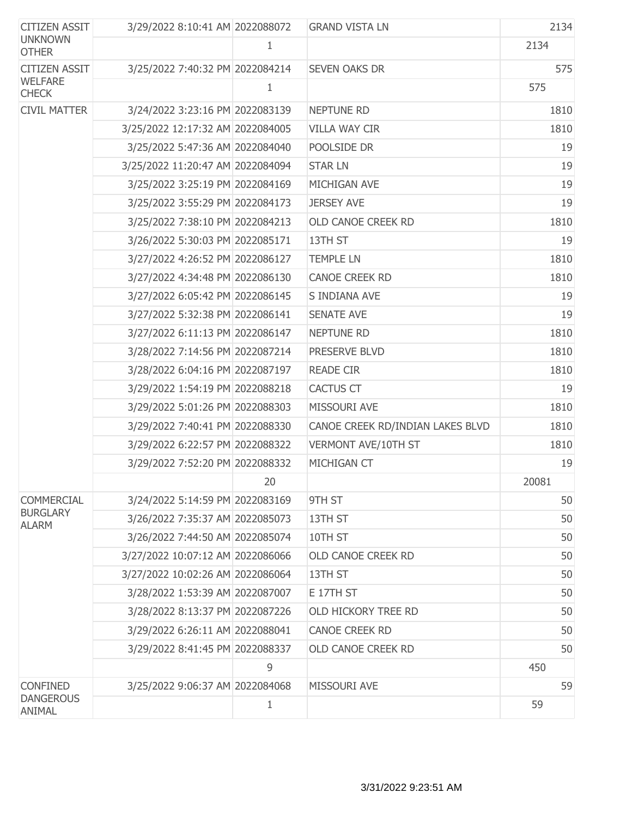| <b>CITIZEN ASSIT</b>            | 3/29/2022 8:10:41 AM 2022088072  |    | <b>GRAND VISTA LN</b>            | 2134  |
|---------------------------------|----------------------------------|----|----------------------------------|-------|
| <b>UNKNOWN</b><br><b>OTHER</b>  |                                  | 1  |                                  | 2134  |
| <b>CITIZEN ASSIT</b>            | 3/25/2022 7:40:32 PM 2022084214  |    | <b>SEVEN OAKS DR</b>             | 575   |
| <b>WELFARE</b><br><b>CHECK</b>  |                                  | 1  |                                  | 575   |
| <b>CIVIL MATTER</b>             | 3/24/2022 3:23:16 PM 2022083139  |    | <b>NEPTUNE RD</b>                | 1810  |
|                                 | 3/25/2022 12:17:32 AM 2022084005 |    | <b>VILLA WAY CIR</b>             | 1810  |
|                                 | 3/25/2022 5:47:36 AM 2022084040  |    | POOLSIDE DR                      | 19    |
|                                 | 3/25/2022 11:20:47 AM 2022084094 |    | <b>STAR LN</b>                   | 19    |
|                                 | 3/25/2022 3:25:19 PM 2022084169  |    | MICHIGAN AVE                     | 19    |
|                                 | 3/25/2022 3:55:29 PM 2022084173  |    | <b>JERSEY AVE</b>                | 19    |
|                                 | 3/25/2022 7:38:10 PM 2022084213  |    | OLD CANOE CREEK RD               | 1810  |
|                                 | 3/26/2022 5:30:03 PM 2022085171  |    | 13TH ST                          | 19    |
|                                 | 3/27/2022 4:26:52 PM 2022086127  |    | <b>TEMPLE LN</b>                 | 1810  |
|                                 | 3/27/2022 4:34:48 PM 2022086130  |    | CANOE CREEK RD                   | 1810  |
|                                 | 3/27/2022 6:05:42 PM 2022086145  |    | S INDIANA AVE                    | 19    |
|                                 | 3/27/2022 5:32:38 PM 2022086141  |    | <b>SENATE AVE</b>                | 19    |
|                                 | 3/27/2022 6:11:13 PM 2022086147  |    | <b>NEPTUNE RD</b>                | 1810  |
|                                 | 3/28/2022 7:14:56 PM 2022087214  |    | PRESERVE BLVD                    | 1810  |
|                                 | 3/28/2022 6:04:16 PM 2022087197  |    | <b>READE CIR</b>                 | 1810  |
|                                 | 3/29/2022 1:54:19 PM 2022088218  |    | <b>CACTUS CT</b>                 | 19    |
|                                 | 3/29/2022 5:01:26 PM 2022088303  |    | MISSOURI AVE                     | 1810  |
|                                 | 3/29/2022 7:40:41 PM 2022088330  |    | CANOE CREEK RD/INDIAN LAKES BLVD | 1810  |
|                                 | 3/29/2022 6:22:57 PM 2022088322  |    | VERMONT AVE/10TH ST              | 1810  |
|                                 | 3/29/2022 7:52:20 PM 2022088332  |    | MICHIGAN CT                      | 19    |
|                                 |                                  | 20 |                                  | 20081 |
| <b>COMMERCIAL</b>               | 3/24/2022 5:14:59 PM 2022083169  |    | 9TH ST                           | 50    |
| <b>BURGLARY</b><br><b>ALARM</b> | 3/26/2022 7:35:37 AM 2022085073  |    | 13TH ST                          | 50    |
|                                 | 3/26/2022 7:44:50 AM 2022085074  |    | 10TH ST                          | 50    |
|                                 | 3/27/2022 10:07:12 AM 2022086066 |    | OLD CANOE CREEK RD               | 50    |
|                                 | 3/27/2022 10:02:26 AM 2022086064 |    | 13TH ST                          | 50    |
|                                 | 3/28/2022 1:53:39 AM 2022087007  |    | E 17TH ST                        | 50    |
|                                 | 3/28/2022 8:13:37 PM 2022087226  |    | OLD HICKORY TREE RD              | 50    |
|                                 | 3/29/2022 6:26:11 AM 2022088041  |    | <b>CANOE CREEK RD</b>            | 50    |
|                                 | 3/29/2022 8:41:45 PM 2022088337  |    | OLD CANOE CREEK RD               | 50    |
|                                 |                                  | 9  |                                  | 450   |
| <b>CONFINED</b>                 | 3/25/2022 9:06:37 AM 2022084068  |    | MISSOURI AVE                     | 59    |
| <b>DANGEROUS</b><br>ANIMAL      |                                  | 1  |                                  | 59    |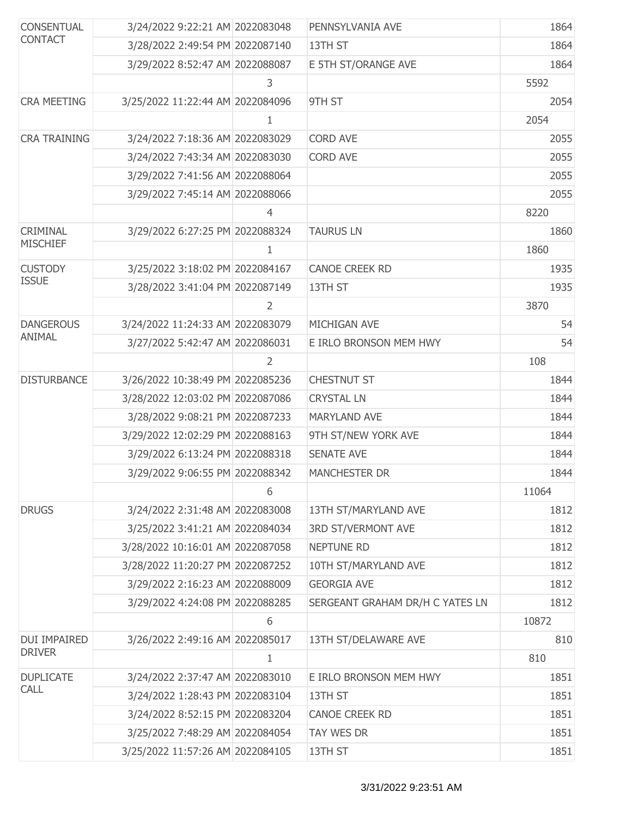| <b>CONSENTUAL</b><br><b>CONTACT</b> | 3/24/2022 9:22:21 AM 2022083048  |                | PENNSYLVANIA AVE                | 1864  |
|-------------------------------------|----------------------------------|----------------|---------------------------------|-------|
|                                     | 3/28/2022 2:49:54 PM 2022087140  |                | 13TH ST                         | 1864  |
|                                     | 3/29/2022 8:52:47 AM 2022088087  |                | E 5TH ST/ORANGE AVE             | 1864  |
|                                     |                                  | 3              |                                 | 5592  |
| <b>CRA MEETING</b>                  | 3/25/2022 11:22:44 AM 2022084096 |                | 9TH ST                          | 2054  |
|                                     |                                  | 1              |                                 | 2054  |
| <b>CRA TRAINING</b>                 | 3/24/2022 7:18:36 AM 2022083029  |                | <b>CORD AVE</b>                 | 2055  |
|                                     | 3/24/2022 7:43:34 AM 2022083030  |                | <b>CORD AVE</b>                 | 2055  |
|                                     | 3/29/2022 7:41:56 AM 2022088064  |                |                                 | 2055  |
|                                     | 3/29/2022 7:45:14 AM 2022088066  |                |                                 | 2055  |
|                                     |                                  | 4              |                                 | 8220  |
| CRIMINAL                            | 3/29/2022 6:27:25 PM 2022088324  |                | <b>TAURUS LN</b>                | 1860  |
| <b>MISCHIEF</b>                     |                                  | 1              |                                 | 1860  |
| <b>CUSTODY</b>                      | 3/25/2022 3:18:02 PM 2022084167  |                | <b>CANOE CREEK RD</b>           | 1935  |
| <b>ISSUE</b>                        | 3/28/2022 3:41:04 PM 2022087149  |                | 13TH ST                         | 1935  |
|                                     |                                  | $\overline{2}$ |                                 | 3870  |
| <b>DANGEROUS</b>                    | 3/24/2022 11:24:33 AM 2022083079 |                | MICHIGAN AVE                    | 54    |
| ANIMAL                              | 3/27/2022 5:42:47 AM 2022086031  |                | E IRLO BRONSON MEM HWY          | 54    |
|                                     |                                  | 2              |                                 | 108   |
| <b>DISTURBANCE</b>                  | 3/26/2022 10:38:49 PM 2022085236 |                | <b>CHESTNUT ST</b>              | 1844  |
|                                     | 3/28/2022 12:03:02 PM 2022087086 |                | <b>CRYSTAL LN</b>               | 1844  |
|                                     | 3/28/2022 9:08:21 PM 2022087233  |                | <b>MARYLAND AVE</b>             | 1844  |
|                                     | 3/29/2022 12:02:29 PM 2022088163 |                | 9TH ST/NEW YORK AVE             | 1844  |
|                                     | 3/29/2022 6:13:24 PM 2022088318  |                | <b>SENATE AVE</b>               | 1844  |
|                                     | 3/29/2022 9:06:55 PM 2022088342  |                | <b>MANCHESTER DR</b>            | 1844  |
|                                     |                                  | 6              |                                 | 11064 |
| <b>DRUGS</b>                        | 3/24/2022 2:31:48 AM 2022083008  |                | 13TH ST/MARYLAND AVE            | 1812  |
|                                     | 3/25/2022 3:41:21 AM 2022084034  |                | <b>3RD ST/VERMONT AVE</b>       | 1812  |
|                                     | 3/28/2022 10:16:01 AM 2022087058 |                | <b>NEPTUNE RD</b>               | 1812  |
|                                     | 3/28/2022 11:20:27 PM 2022087252 |                | 10TH ST/MARYLAND AVE            | 1812  |
|                                     | 3/29/2022 2:16:23 AM 2022088009  |                | <b>GEORGIA AVE</b>              | 1812  |
|                                     | 3/29/2022 4:24:08 PM 2022088285  |                | SERGEANT GRAHAM DR/H C YATES LN | 1812  |
|                                     |                                  | 6              |                                 | 10872 |
| DUI IMPAIRED                        | 3/26/2022 2:49:16 AM 2022085017  |                | 13TH ST/DELAWARE AVE            | 810   |
| <b>DRIVER</b>                       |                                  | 1              |                                 | 810   |
| <b>DUPLICATE</b>                    | 3/24/2022 2:37:47 AM 2022083010  |                | E IRLO BRONSON MEM HWY          | 1851  |
| <b>CALL</b>                         | 3/24/2022 1:28:43 PM 2022083104  |                | 13TH ST                         | 1851  |
|                                     | 3/24/2022 8:52:15 PM 2022083204  |                | <b>CANOE CREEK RD</b>           | 1851  |
|                                     | 3/25/2022 7:48:29 AM 2022084054  |                | TAY WES DR                      | 1851  |
|                                     | 3/25/2022 11:57:26 AM 2022084105 |                | 13TH ST                         | 1851  |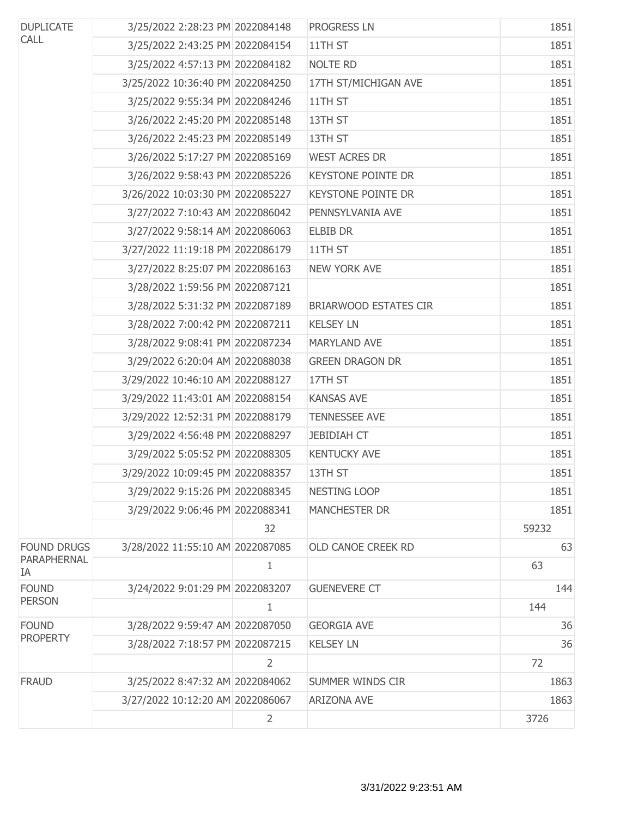| <b>DUPLICATE</b>   | 3/25/2022 2:28:23 PM 2022084148  |                | PROGRESS LN                  | 1851  |
|--------------------|----------------------------------|----------------|------------------------------|-------|
| <b>CALL</b>        | 3/25/2022 2:43:25 PM 2022084154  |                | 11TH ST                      | 1851  |
|                    | 3/25/2022 4:57:13 PM 2022084182  |                | <b>NOLTE RD</b>              | 1851  |
|                    | 3/25/2022 10:36:40 PM 2022084250 |                | 17TH ST/MICHIGAN AVE         | 1851  |
|                    | 3/25/2022 9:55:34 PM 2022084246  |                | 11TH ST                      | 1851  |
|                    | 3/26/2022 2:45:20 PM 2022085148  |                | 13TH ST                      | 1851  |
|                    | 3/26/2022 2:45:23 PM 2022085149  |                | 13TH ST                      | 1851  |
|                    | 3/26/2022 5:17:27 PM 2022085169  |                | <b>WEST ACRES DR</b>         | 1851  |
|                    | 3/26/2022 9:58:43 PM 2022085226  |                | <b>KEYSTONE POINTE DR</b>    | 1851  |
|                    | 3/26/2022 10:03:30 PM 2022085227 |                | <b>KEYSTONE POINTE DR</b>    | 1851  |
|                    | 3/27/2022 7:10:43 AM 2022086042  |                | PENNSYLVANIA AVE             | 1851  |
|                    | 3/27/2022 9:58:14 AM 2022086063  |                | <b>ELBIB DR</b>              | 1851  |
|                    | 3/27/2022 11:19:18 PM 2022086179 |                | 11TH ST                      | 1851  |
|                    | 3/27/2022 8:25:07 PM 2022086163  |                | <b>NEW YORK AVE</b>          | 1851  |
|                    | 3/28/2022 1:59:56 PM 2022087121  |                |                              | 1851  |
|                    | 3/28/2022 5:31:32 PM 2022087189  |                | <b>BRIARWOOD ESTATES CIR</b> | 1851  |
|                    | 3/28/2022 7:00:42 PM 2022087211  |                | <b>KELSEY LN</b>             | 1851  |
|                    | 3/28/2022 9:08:41 PM 2022087234  |                | <b>MARYLAND AVE</b>          | 1851  |
|                    | 3/29/2022 6:20:04 AM 2022088038  |                | <b>GREEN DRAGON DR</b>       | 1851  |
|                    | 3/29/2022 10:46:10 AM 2022088127 |                | 17TH ST                      | 1851  |
|                    | 3/29/2022 11:43:01 AM 2022088154 |                | <b>KANSAS AVE</b>            | 1851  |
|                    | 3/29/2022 12:52:31 PM 2022088179 |                | <b>TENNESSEE AVE</b>         | 1851  |
|                    | 3/29/2022 4:56:48 PM 2022088297  |                | <b>JEBIDIAH CT</b>           | 1851  |
|                    | 3/29/2022 5:05:52 PM 2022088305  |                | <b>KENTUCKY AVE</b>          | 1851  |
|                    | 3/29/2022 10:09:45 PM 2022088357 |                | 13TH ST                      | 1851  |
|                    | 3/29/2022 9:15:26 PM 2022088345  |                | <b>NESTING LOOP</b>          | 1851  |
|                    | 3/29/2022 9:06:46 PM 2022088341  |                | <b>MANCHESTER DR</b>         | 1851  |
|                    |                                  | 32             |                              | 59232 |
| <b>FOUND DRUGS</b> | 3/28/2022 11:55:10 AM 2022087085 |                | <b>OLD CANOE CREEK RD</b>    | 63    |
| PARAPHERNAL<br>IA  |                                  | 1              |                              | 63    |
| <b>FOUND</b>       | 3/24/2022 9:01:29 PM 2022083207  |                | <b>GUENEVERE CT</b>          | 144   |
| <b>PERSON</b>      |                                  | 1              |                              | 144   |
| <b>FOUND</b>       | 3/28/2022 9:59:47 AM 2022087050  |                | <b>GEORGIA AVE</b>           | 36    |
| <b>PROPERTY</b>    | 3/28/2022 7:18:57 PM 2022087215  |                | <b>KELSEY LN</b>             | 36    |
|                    |                                  | $\overline{2}$ |                              | 72    |
| <b>FRAUD</b>       | 3/25/2022 8:47:32 AM 2022084062  |                | SUMMER WINDS CIR             | 1863  |
|                    | 3/27/2022 10:12:20 AM 2022086067 |                | <b>ARIZONA AVE</b>           | 1863  |
|                    |                                  | $\overline{2}$ |                              | 3726  |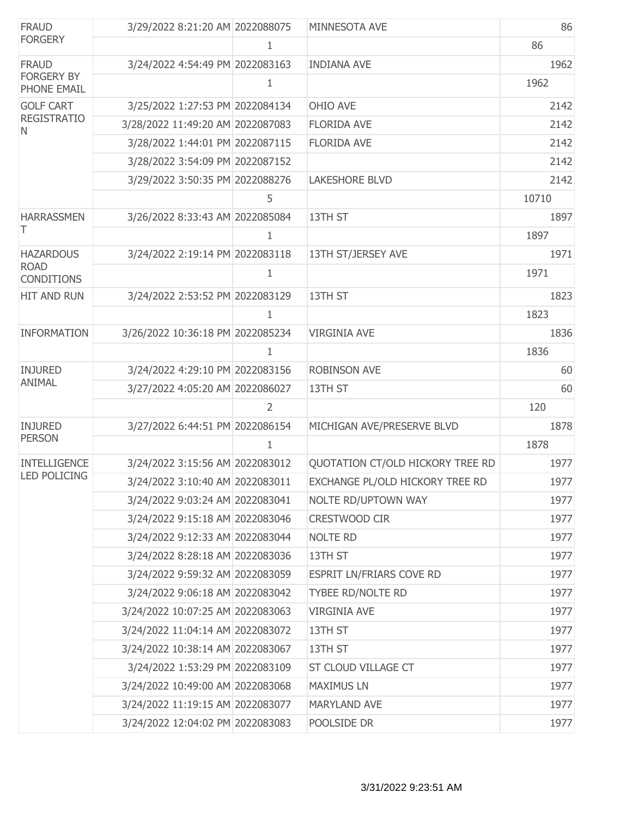| <b>FRAUD</b>                                     | 3/29/2022 8:21:20 AM 2022088075  |                | MINNESOTA AVE                    | 86    |
|--------------------------------------------------|----------------------------------|----------------|----------------------------------|-------|
| <b>FORGERY</b>                                   |                                  | 1              |                                  | 86    |
| <b>FRAUD</b><br><b>FORGERY BY</b><br>PHONE EMAIL | 3/24/2022 4:54:49 PM 2022083163  |                | <b>INDIANA AVE</b>               | 1962  |
|                                                  |                                  | 1              |                                  | 1962  |
| <b>GOLF CART</b>                                 | 3/25/2022 1:27:53 PM 2022084134  |                | OHIO AVE                         | 2142  |
| <b>REGISTRATIO</b><br>N                          | 3/28/2022 11:49:20 AM 2022087083 |                | <b>FLORIDA AVE</b>               | 2142  |
|                                                  | 3/28/2022 1:44:01 PM 2022087115  |                | <b>FLORIDA AVE</b>               | 2142  |
|                                                  | 3/28/2022 3:54:09 PM 2022087152  |                |                                  | 2142  |
|                                                  | 3/29/2022 3:50:35 PM 2022088276  |                | <b>LAKESHORE BLVD</b>            | 2142  |
|                                                  |                                  | 5              |                                  | 10710 |
| <b>HARRASSMEN</b>                                | 3/26/2022 8:33:43 AM 2022085084  |                | 13TH ST                          | 1897  |
| Τ                                                |                                  | 1              |                                  | 1897  |
| <b>HAZARDOUS</b>                                 | 3/24/2022 2:19:14 PM 2022083118  |                | 13TH ST/JERSEY AVE               | 1971  |
| <b>ROAD</b><br><b>CONDITIONS</b>                 |                                  | 1              |                                  | 1971  |
| HIT AND RUN                                      | 3/24/2022 2:53:52 PM 2022083129  |                | 13TH ST                          | 1823  |
|                                                  |                                  | 1              |                                  | 1823  |
| <b>INFORMATION</b>                               | 3/26/2022 10:36:18 PM 2022085234 |                | <b>VIRGINIA AVE</b>              | 1836  |
|                                                  |                                  | 1              |                                  | 1836  |
| <b>INJURED</b>                                   | 3/24/2022 4:29:10 PM 2022083156  |                | <b>ROBINSON AVE</b>              | 60    |
| <b>ANIMAL</b>                                    | 3/27/2022 4:05:20 AM 2022086027  |                | 13TH ST                          | 60    |
|                                                  |                                  | $\overline{2}$ |                                  | 120   |
| <b>INJURED</b>                                   | 3/27/2022 6:44:51 PM 2022086154  |                | MICHIGAN AVE/PRESERVE BLVD       | 1878  |
| <b>PERSON</b>                                    |                                  | 1              |                                  | 1878  |
| <b>INTELLIGENCE</b>                              | 3/24/2022 3:15:56 AM 2022083012  |                | QUOTATION CT/OLD HICKORY TREE RD | 1977  |
| <b>LED POLICING</b>                              | 3/24/2022 3:10:40 AM 2022083011  |                | EXCHANGE PL/OLD HICKORY TREE RD  | 1977  |
|                                                  | 3/24/2022 9:03:24 AM 2022083041  |                | NOLTE RD/UPTOWN WAY              | 1977  |
|                                                  | 3/24/2022 9:15:18 AM 2022083046  |                | CRESTWOOD CIR                    | 1977  |
|                                                  | 3/24/2022 9:12:33 AM 2022083044  |                | NOLTE RD                         | 1977  |
|                                                  | 3/24/2022 8:28:18 AM 2022083036  |                | 13TH ST                          | 1977  |
|                                                  | 3/24/2022 9:59:32 AM 2022083059  |                | ESPRIT LN/FRIARS COVE RD         | 1977  |
|                                                  | 3/24/2022 9:06:18 AM 2022083042  |                | TYBEE RD/NOLTE RD                | 1977  |
|                                                  | 3/24/2022 10:07:25 AM 2022083063 |                | <b>VIRGINIA AVE</b>              | 1977  |
|                                                  | 3/24/2022 11:04:14 AM 2022083072 |                | 13TH ST                          | 1977  |
|                                                  | 3/24/2022 10:38:14 AM 2022083067 |                | 13TH ST                          | 1977  |
|                                                  | 3/24/2022 1:53:29 PM 2022083109  |                | ST CLOUD VILLAGE CT              | 1977  |
|                                                  | 3/24/2022 10:49:00 AM 2022083068 |                | <b>MAXIMUS LN</b>                | 1977  |
|                                                  | 3/24/2022 11:19:15 AM 2022083077 |                | MARYLAND AVE                     | 1977  |
|                                                  | 3/24/2022 12:04:02 PM 2022083083 |                | POOLSIDE DR                      | 1977  |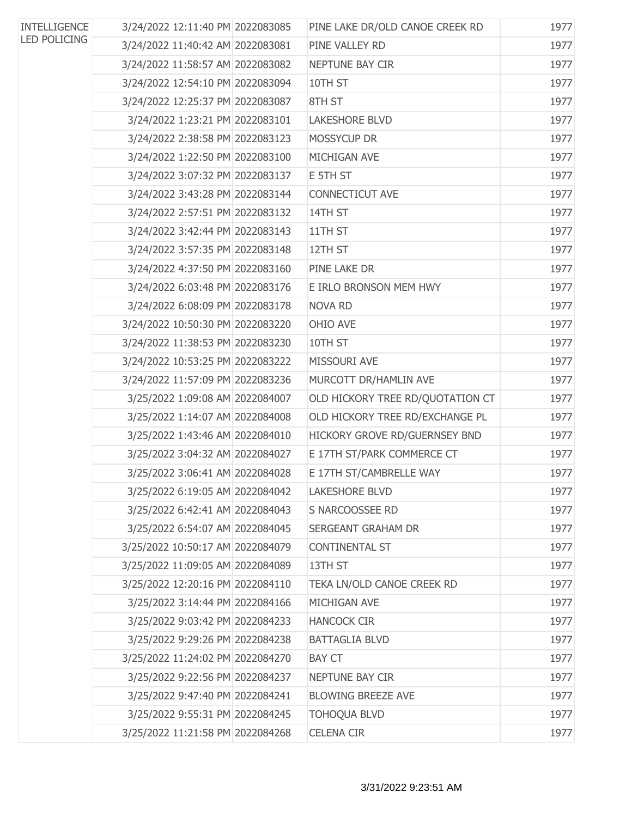| <b>INTELLIGENCE</b> | 3/24/2022 12:11:40 PM 2022083085 | PINE LAKE DR/OLD CANOE CREEK RD  | 1977 |
|---------------------|----------------------------------|----------------------------------|------|
| <b>LED POLICING</b> | 3/24/2022 11:40:42 AM 2022083081 | PINE VALLEY RD                   | 1977 |
|                     | 3/24/2022 11:58:57 AM 2022083082 | NEPTUNE BAY CIR                  | 1977 |
|                     | 3/24/2022 12:54:10 PM 2022083094 | 10TH ST                          | 1977 |
|                     | 3/24/2022 12:25:37 PM 2022083087 | 8TH ST                           | 1977 |
|                     | 3/24/2022 1:23:21 PM 2022083101  | <b>LAKESHORE BLVD</b>            | 1977 |
|                     | 3/24/2022 2:38:58 PM 2022083123  | MOSSYCUP DR                      | 1977 |
|                     | 3/24/2022 1:22:50 PM 2022083100  | MICHIGAN AVE                     | 1977 |
|                     | 3/24/2022 3:07:32 PM 2022083137  | E 5TH ST                         | 1977 |
|                     | 3/24/2022 3:43:28 PM 2022083144  | <b>CONNECTICUT AVE</b>           | 1977 |
|                     | 3/24/2022 2:57:51 PM 2022083132  | 14TH ST                          | 1977 |
|                     | 3/24/2022 3:42:44 PM 2022083143  | 11TH ST                          | 1977 |
|                     | 3/24/2022 3:57:35 PM 2022083148  | 12TH ST                          | 1977 |
|                     | 3/24/2022 4:37:50 PM 2022083160  | PINE LAKE DR                     | 1977 |
|                     | 3/24/2022 6:03:48 PM 2022083176  | E IRLO BRONSON MEM HWY           | 1977 |
|                     | 3/24/2022 6:08:09 PM 2022083178  | <b>NOVA RD</b>                   | 1977 |
|                     | 3/24/2022 10:50:30 PM 2022083220 | OHIO AVE                         | 1977 |
|                     | 3/24/2022 11:38:53 PM 2022083230 | 10TH ST                          | 1977 |
|                     | 3/24/2022 10:53:25 PM 2022083222 | MISSOURI AVE                     | 1977 |
|                     | 3/24/2022 11:57:09 PM 2022083236 | MURCOTT DR/HAMLIN AVE            | 1977 |
|                     | 3/25/2022 1:09:08 AM 2022084007  | OLD HICKORY TREE RD/QUOTATION CT | 1977 |
|                     | 3/25/2022 1:14:07 AM 2022084008  | OLD HICKORY TREE RD/EXCHANGE PL  | 1977 |
|                     | 3/25/2022 1:43:46 AM 2022084010  | HICKORY GROVE RD/GUERNSEY BND    | 1977 |
|                     | 3/25/2022 3:04:32 AM 2022084027  | E 17TH ST/PARK COMMERCE CT       | 1977 |
|                     | 3/25/2022 3:06:41 AM 2022084028  | E 17TH ST/CAMBRELLE WAY          | 1977 |
|                     | 3/25/2022 6:19:05 AM 2022084042  | <b>LAKESHORE BLVD</b>            | 1977 |
|                     | 3/25/2022 6:42:41 AM 2022084043  | S NARCOOSSEE RD                  | 1977 |
|                     | 3/25/2022 6:54:07 AM 2022084045  | SERGEANT GRAHAM DR               | 1977 |
|                     | 3/25/2022 10:50:17 AM 2022084079 | <b>CONTINENTAL ST</b>            | 1977 |
|                     | 3/25/2022 11:09:05 AM 2022084089 | 13TH ST                          | 1977 |
|                     | 3/25/2022 12:20:16 PM 2022084110 | TEKA LN/OLD CANOE CREEK RD       | 1977 |
|                     | 3/25/2022 3:14:44 PM 2022084166  | MICHIGAN AVE                     | 1977 |
|                     | 3/25/2022 9:03:42 PM 2022084233  | <b>HANCOCK CIR</b>               | 1977 |
|                     | 3/25/2022 9:29:26 PM 2022084238  | <b>BATTAGLIA BLVD</b>            | 1977 |
|                     | 3/25/2022 11:24:02 PM 2022084270 | <b>BAY CT</b>                    | 1977 |
|                     | 3/25/2022 9:22:56 PM 2022084237  | NEPTUNE BAY CIR                  | 1977 |
|                     | 3/25/2022 9:47:40 PM 2022084241  | <b>BLOWING BREEZE AVE</b>        | 1977 |
|                     | 3/25/2022 9:55:31 PM 2022084245  | <b>TOHOQUA BLVD</b>              | 1977 |
|                     | 3/25/2022 11:21:58 PM 2022084268 | <b>CELENA CIR</b>                | 1977 |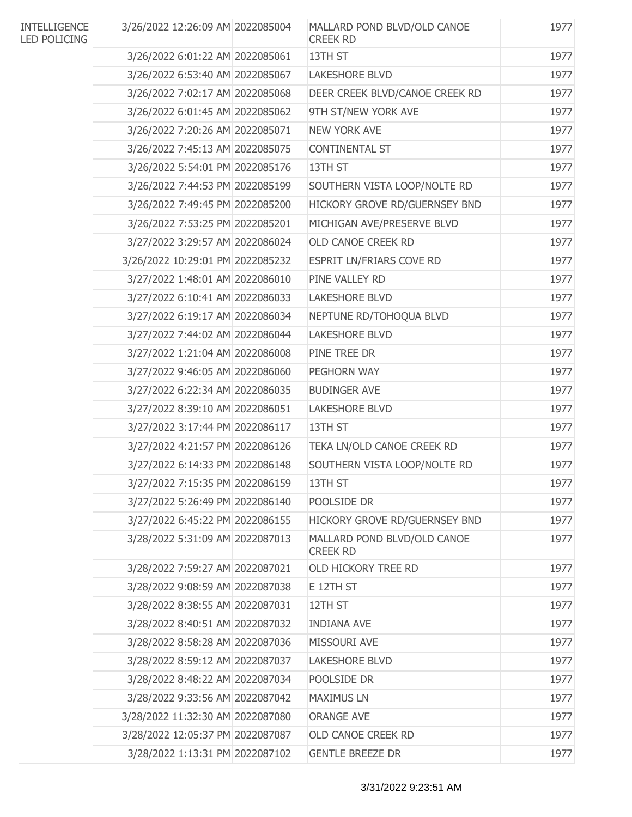| <b>INTELLIGENCE</b><br><b>LED POLICING</b> | 3/26/2022 12:26:09 AM 2022085004 | MALLARD POND BLVD/OLD CANOE<br><b>CREEK RD</b> | 1977 |
|--------------------------------------------|----------------------------------|------------------------------------------------|------|
|                                            | 3/26/2022 6:01:22 AM 2022085061  | 13TH ST                                        | 1977 |
|                                            | 3/26/2022 6:53:40 AM 2022085067  | <b>LAKESHORE BLVD</b>                          | 1977 |
|                                            | 3/26/2022 7:02:17 AM 2022085068  | DEER CREEK BLVD/CANOE CREEK RD                 | 1977 |
|                                            | 3/26/2022 6:01:45 AM 2022085062  | 9TH ST/NEW YORK AVE                            | 1977 |
|                                            | 3/26/2022 7:20:26 AM 2022085071  | <b>NEW YORK AVE</b>                            | 1977 |
|                                            | 3/26/2022 7:45:13 AM 2022085075  | CONTINENTAL ST                                 | 1977 |
|                                            | 3/26/2022 5:54:01 PM 2022085176  | 13TH ST                                        | 1977 |
|                                            | 3/26/2022 7:44:53 PM 2022085199  | SOUTHERN VISTA LOOP/NOLTE RD                   | 1977 |
|                                            | 3/26/2022 7:49:45 PM 2022085200  | HICKORY GROVE RD/GUERNSEY BND                  | 1977 |
|                                            | 3/26/2022 7:53:25 PM 2022085201  | MICHIGAN AVE/PRESERVE BLVD                     | 1977 |
|                                            | 3/27/2022 3:29:57 AM 2022086024  | OLD CANOE CREEK RD                             | 1977 |
|                                            | 3/26/2022 10:29:01 PM 2022085232 | ESPRIT LN/FRIARS COVE RD                       | 1977 |
|                                            | 3/27/2022 1:48:01 AM 2022086010  | PINE VALLEY RD                                 | 1977 |
|                                            | 3/27/2022 6:10:41 AM 2022086033  | <b>LAKESHORE BLVD</b>                          | 1977 |
|                                            | 3/27/2022 6:19:17 AM 2022086034  | NEPTUNE RD/TOHOQUA BLVD                        | 1977 |
|                                            | 3/27/2022 7:44:02 AM 2022086044  | <b>LAKESHORE BLVD</b>                          | 1977 |
|                                            | 3/27/2022 1:21:04 AM 2022086008  | PINE TREE DR                                   | 1977 |
|                                            | 3/27/2022 9:46:05 AM 2022086060  | PEGHORN WAY                                    | 1977 |
|                                            | 3/27/2022 6:22:34 AM 2022086035  | <b>BUDINGER AVE</b>                            | 1977 |
|                                            | 3/27/2022 8:39:10 AM 2022086051  | <b>LAKESHORE BLVD</b>                          | 1977 |
|                                            | 3/27/2022 3:17:44 PM 2022086117  | 13TH ST                                        | 1977 |
|                                            | 3/27/2022 4:21:57 PM 2022086126  | TEKA LN/OLD CANOE CREEK RD                     | 1977 |
|                                            | 3/27/2022 6:14:33 PM 2022086148  | SOUTHERN VISTA LOOP/NOLTE RD                   | 1977 |
|                                            | 3/27/2022 7:15:35 PM 2022086159  | 13TH ST                                        | 1977 |
|                                            | 3/27/2022 5:26:49 PM 2022086140  | POOLSIDE DR                                    | 1977 |
|                                            | 3/27/2022 6:45:22 PM 2022086155  | HICKORY GROVE RD/GUERNSEY BND                  | 1977 |
|                                            | 3/28/2022 5:31:09 AM 2022087013  | MALLARD POND BLVD/OLD CANOE<br><b>CREEK RD</b> | 1977 |
|                                            | 3/28/2022 7:59:27 AM 2022087021  | OLD HICKORY TREE RD                            | 1977 |
|                                            | 3/28/2022 9:08:59 AM 2022087038  | E 12TH ST                                      | 1977 |
|                                            | 3/28/2022 8:38:55 AM 2022087031  | 12TH ST                                        | 1977 |
|                                            | 3/28/2022 8:40:51 AM 2022087032  | <b>INDIANA AVE</b>                             | 1977 |
|                                            | 3/28/2022 8:58:28 AM 2022087036  | MISSOURI AVE                                   | 1977 |
|                                            | 3/28/2022 8:59:12 AM 2022087037  | <b>LAKESHORE BLVD</b>                          | 1977 |
|                                            | 3/28/2022 8:48:22 AM 2022087034  | POOLSIDE DR                                    | 1977 |
|                                            | 3/28/2022 9:33:56 AM 2022087042  | <b>MAXIMUS LN</b>                              | 1977 |
|                                            | 3/28/2022 11:32:30 AM 2022087080 | <b>ORANGE AVE</b>                              | 1977 |
|                                            | 3/28/2022 12:05:37 PM 2022087087 | OLD CANOE CREEK RD                             | 1977 |
|                                            | 3/28/2022 1:13:31 PM 2022087102  | <b>GENTLE BREEZE DR</b>                        | 1977 |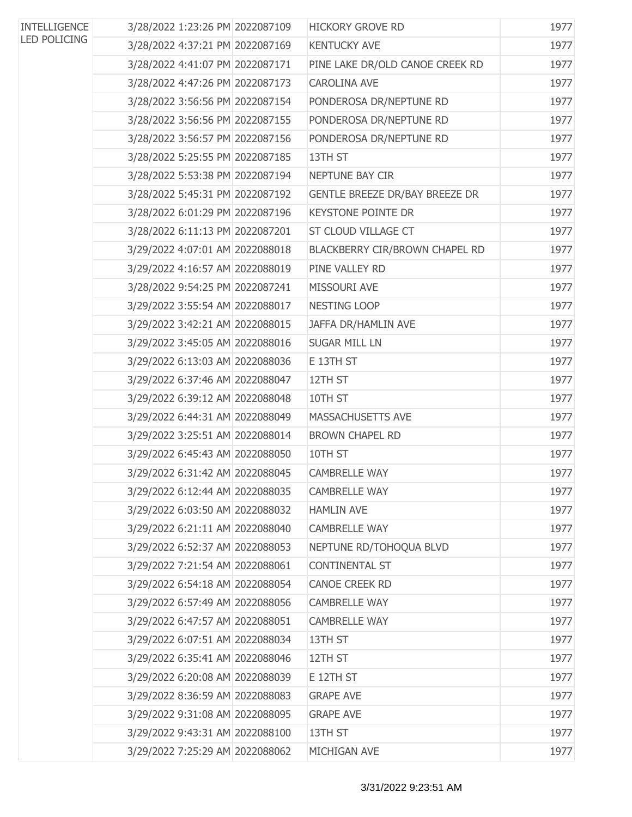| <b>INTELLIGENCE</b> | 3/28/2022 1:23:26 PM 2022087109 | <b>HICKORY GROVE RD</b>         | 1977 |
|---------------------|---------------------------------|---------------------------------|------|
| <b>LED POLICING</b> | 3/28/2022 4:37:21 PM 2022087169 | <b>KENTUCKY AVE</b>             | 1977 |
|                     | 3/28/2022 4:41:07 PM 2022087171 | PINE LAKE DR/OLD CANOE CREEK RD | 1977 |
|                     | 3/28/2022 4:47:26 PM 2022087173 | <b>CAROLINA AVE</b>             | 1977 |
|                     | 3/28/2022 3:56:56 PM 2022087154 | PONDEROSA DR/NEPTUNE RD         | 1977 |
|                     | 3/28/2022 3:56:56 PM 2022087155 | PONDEROSA DR/NEPTUNE RD         | 1977 |
|                     | 3/28/2022 3:56:57 PM 2022087156 | PONDEROSA DR/NEPTUNE RD         | 1977 |
|                     | 3/28/2022 5:25:55 PM 2022087185 | 13TH ST                         | 1977 |
|                     | 3/28/2022 5:53:38 PM 2022087194 | NEPTUNE BAY CIR                 | 1977 |
|                     | 3/28/2022 5:45:31 PM 2022087192 | GENTLE BREEZE DR/BAY BREEZE DR  | 1977 |
|                     | 3/28/2022 6:01:29 PM 2022087196 | <b>KEYSTONE POINTE DR</b>       | 1977 |
|                     | 3/28/2022 6:11:13 PM 2022087201 | <b>ST CLOUD VILLAGE CT</b>      | 1977 |
|                     | 3/29/2022 4:07:01 AM 2022088018 | BLACKBERRY CIR/BROWN CHAPEL RD  | 1977 |
|                     | 3/29/2022 4:16:57 AM 2022088019 | PINE VALLEY RD                  | 1977 |
|                     | 3/28/2022 9:54:25 PM 2022087241 | MISSOURI AVE                    | 1977 |
|                     | 3/29/2022 3:55:54 AM 2022088017 | NESTING LOOP                    | 1977 |
|                     | 3/29/2022 3:42:21 AM 2022088015 | JAFFA DR/HAMLIN AVE             | 1977 |
|                     | 3/29/2022 3:45:05 AM 2022088016 | <b>SUGAR MILL LN</b>            | 1977 |
|                     | 3/29/2022 6:13:03 AM 2022088036 | E 13TH ST                       | 1977 |
|                     | 3/29/2022 6:37:46 AM 2022088047 | 12TH ST                         | 1977 |
|                     | 3/29/2022 6:39:12 AM 2022088048 | 10TH ST                         | 1977 |
|                     | 3/29/2022 6:44:31 AM 2022088049 | MASSACHUSETTS AVE               | 1977 |
|                     | 3/29/2022 3:25:51 AM 2022088014 | <b>BROWN CHAPEL RD</b>          | 1977 |
|                     | 3/29/2022 6:45:43 AM 2022088050 | 10TH ST                         | 1977 |
|                     | 3/29/2022 6:31:42 AM 2022088045 | <b>CAMBRELLE WAY</b>            | 1977 |
|                     | 3/29/2022 6:12:44 AM 2022088035 | <b>CAMBRELLE WAY</b>            | 1977 |
|                     | 3/29/2022 6:03:50 AM 2022088032 | <b>HAMLIN AVE</b>               | 1977 |
|                     | 3/29/2022 6:21:11 AM 2022088040 | <b>CAMBRELLE WAY</b>            | 1977 |
|                     | 3/29/2022 6:52:37 AM 2022088053 | NEPTUNE RD/TOHOQUA BLVD         | 1977 |
|                     | 3/29/2022 7:21:54 AM 2022088061 | <b>CONTINENTAL ST</b>           | 1977 |
|                     | 3/29/2022 6:54:18 AM 2022088054 | CANOE CREEK RD                  | 1977 |
|                     | 3/29/2022 6:57:49 AM 2022088056 | <b>CAMBRELLE WAY</b>            | 1977 |
|                     | 3/29/2022 6:47:57 AM 2022088051 | <b>CAMBRELLE WAY</b>            | 1977 |
|                     | 3/29/2022 6:07:51 AM 2022088034 | 13TH ST                         | 1977 |
|                     | 3/29/2022 6:35:41 AM 2022088046 | 12TH ST                         | 1977 |
|                     | 3/29/2022 6:20:08 AM 2022088039 | E 12TH ST                       | 1977 |
|                     | 3/29/2022 8:36:59 AM 2022088083 | <b>GRAPE AVE</b>                | 1977 |
|                     | 3/29/2022 9:31:08 AM 2022088095 | <b>GRAPE AVE</b>                | 1977 |
|                     | 3/29/2022 9:43:31 AM 2022088100 | 13TH ST                         | 1977 |
|                     | 3/29/2022 7:25:29 AM 2022088062 | MICHIGAN AVE                    | 1977 |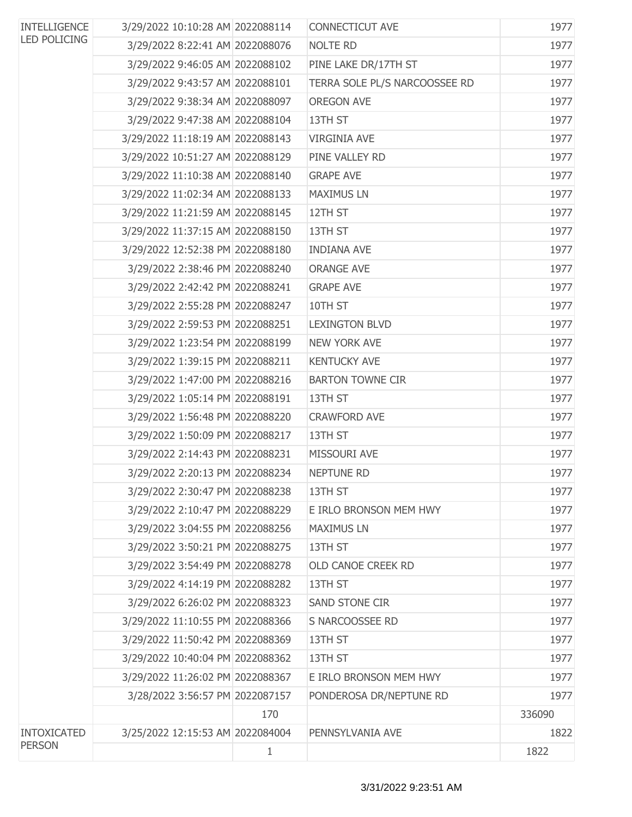| <b>INTELLIGENCE</b> | 3/29/2022 10:10:28 AM 2022088114 |     | CONNECTICUT AVE               | 1977   |
|---------------------|----------------------------------|-----|-------------------------------|--------|
| <b>LED POLICING</b> | 3/29/2022 8:22:41 AM 2022088076  |     | NOLTE RD                      | 1977   |
|                     | 3/29/2022 9:46:05 AM 2022088102  |     | PINE LAKE DR/17TH ST          | 1977   |
|                     | 3/29/2022 9:43:57 AM 2022088101  |     | TERRA SOLE PL/S NARCOOSSEE RD | 1977   |
|                     | 3/29/2022 9:38:34 AM 2022088097  |     | <b>OREGON AVE</b>             | 1977   |
|                     | 3/29/2022 9:47:38 AM 2022088104  |     | 13TH ST                       | 1977   |
|                     | 3/29/2022 11:18:19 AM 2022088143 |     | <b>VIRGINIA AVE</b>           | 1977   |
|                     | 3/29/2022 10:51:27 AM 2022088129 |     | PINE VALLEY RD                | 1977   |
|                     | 3/29/2022 11:10:38 AM 2022088140 |     | <b>GRAPE AVE</b>              | 1977   |
|                     | 3/29/2022 11:02:34 AM 2022088133 |     | <b>MAXIMUS LN</b>             | 1977   |
|                     | 3/29/2022 11:21:59 AM 2022088145 |     | 12TH ST                       | 1977   |
|                     | 3/29/2022 11:37:15 AM 2022088150 |     | 13TH ST                       | 1977   |
|                     | 3/29/2022 12:52:38 PM 2022088180 |     | <b>INDIANA AVE</b>            | 1977   |
|                     | 3/29/2022 2:38:46 PM 2022088240  |     | <b>ORANGE AVE</b>             | 1977   |
|                     | 3/29/2022 2:42:42 PM 2022088241  |     | <b>GRAPE AVE</b>              | 1977   |
|                     | 3/29/2022 2:55:28 PM 2022088247  |     | 10TH ST                       | 1977   |
|                     | 3/29/2022 2:59:53 PM 2022088251  |     | <b>LEXINGTON BLVD</b>         | 1977   |
|                     | 3/29/2022 1:23:54 PM 2022088199  |     | <b>NEW YORK AVE</b>           | 1977   |
|                     | 3/29/2022 1:39:15 PM 2022088211  |     | <b>KENTUCKY AVE</b>           | 1977   |
|                     | 3/29/2022 1:47:00 PM 2022088216  |     | <b>BARTON TOWNE CIR</b>       | 1977   |
|                     | 3/29/2022 1:05:14 PM 2022088191  |     | 13TH ST                       | 1977   |
|                     | 3/29/2022 1:56:48 PM 2022088220  |     | <b>CRAWFORD AVE</b>           | 1977   |
|                     | 3/29/2022 1:50:09 PM 2022088217  |     | 13TH ST                       | 1977   |
|                     | 3/29/2022 2:14:43 PM 2022088231  |     | MISSOURI AVE                  | 1977   |
|                     | 3/29/2022 2:20:13 PM 2022088234  |     | NEPTUNE RD                    | 1977   |
|                     | 3/29/2022 2:30:47 PM 2022088238  |     | 13TH ST                       | 1977   |
|                     | 3/29/2022 2:10:47 PM 2022088229  |     | E IRLO BRONSON MEM HWY        | 1977   |
|                     | 3/29/2022 3:04:55 PM 2022088256  |     | <b>MAXIMUS LN</b>             | 1977   |
|                     | 3/29/2022 3:50:21 PM 2022088275  |     | 13TH ST                       | 1977   |
|                     | 3/29/2022 3:54:49 PM 2022088278  |     | OLD CANOE CREEK RD            | 1977   |
|                     | 3/29/2022 4:14:19 PM 2022088282  |     | 13TH ST                       | 1977   |
|                     | 3/29/2022 6:26:02 PM 2022088323  |     | SAND STONE CIR                | 1977   |
|                     | 3/29/2022 11:10:55 PM 2022088366 |     | S NARCOOSSEE RD               | 1977   |
|                     | 3/29/2022 11:50:42 PM 2022088369 |     | 13TH ST                       | 1977   |
|                     | 3/29/2022 10:40:04 PM 2022088362 |     | 13TH ST                       | 1977   |
|                     | 3/29/2022 11:26:02 PM 2022088367 |     | E IRLO BRONSON MEM HWY        | 1977   |
|                     | 3/28/2022 3:56:57 PM 2022087157  |     | PONDEROSA DR/NEPTUNE RD       | 1977   |
|                     |                                  | 170 |                               | 336090 |
| <b>INTOXICATED</b>  | 3/25/2022 12:15:53 AM 2022084004 |     | PENNSYLVANIA AVE              | 1822   |
| <b>PERSON</b>       |                                  | 1   |                               | 1822   |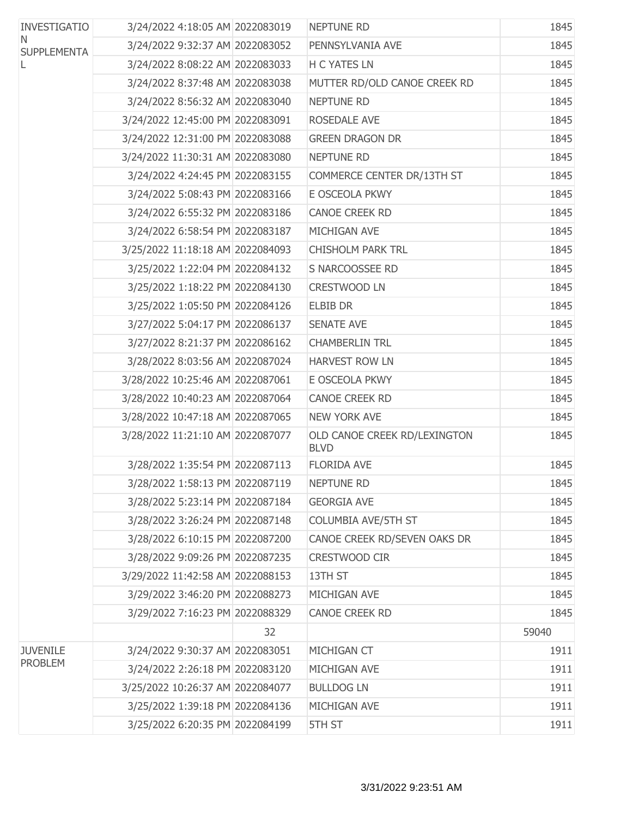| <b>INVESTIGATIO</b>      | 3/24/2022 4:18:05 AM 2022083019  |    | <b>NEPTUNE RD</b>                           | 1845  |
|--------------------------|----------------------------------|----|---------------------------------------------|-------|
| N.<br><b>SUPPLEMENTA</b> | 3/24/2022 9:32:37 AM 2022083052  |    | PENNSYLVANIA AVE                            | 1845  |
| L                        | 3/24/2022 8:08:22 AM 2022083033  |    | <b>H C YATES LN</b>                         | 1845  |
|                          | 3/24/2022 8:37:48 AM 2022083038  |    | MUTTER RD/OLD CANOE CREEK RD                | 1845  |
|                          | 3/24/2022 8:56:32 AM 2022083040  |    | NEPTUNE RD                                  | 1845  |
|                          | 3/24/2022 12:45:00 PM 2022083091 |    | ROSEDALE AVE                                | 1845  |
|                          | 3/24/2022 12:31:00 PM 2022083088 |    | <b>GREEN DRAGON DR</b>                      | 1845  |
|                          | 3/24/2022 11:30:31 AM 2022083080 |    | <b>NEPTUNE RD</b>                           | 1845  |
|                          | 3/24/2022 4:24:45 PM 2022083155  |    | COMMERCE CENTER DR/13TH ST                  | 1845  |
|                          | 3/24/2022 5:08:43 PM 2022083166  |    | E OSCEOLA PKWY                              | 1845  |
|                          | 3/24/2022 6:55:32 PM 2022083186  |    | <b>CANOE CREEK RD</b>                       | 1845  |
|                          | 3/24/2022 6:58:54 PM 2022083187  |    | MICHIGAN AVE                                | 1845  |
|                          | 3/25/2022 11:18:18 AM 2022084093 |    | <b>CHISHOLM PARK TRL</b>                    | 1845  |
|                          | 3/25/2022 1:22:04 PM 2022084132  |    | S NARCOOSSEE RD                             | 1845  |
|                          | 3/25/2022 1:18:22 PM 2022084130  |    | <b>CRESTWOOD LN</b>                         | 1845  |
|                          | 3/25/2022 1:05:50 PM 2022084126  |    | <b>ELBIB DR</b>                             | 1845  |
|                          | 3/27/2022 5:04:17 PM 2022086137  |    | <b>SENATE AVE</b>                           | 1845  |
|                          | 3/27/2022 8:21:37 PM 2022086162  |    | <b>CHAMBERLIN TRL</b>                       | 1845  |
|                          | 3/28/2022 8:03:56 AM 2022087024  |    | <b>HARVEST ROW LN</b>                       | 1845  |
|                          | 3/28/2022 10:25:46 AM 2022087061 |    | E OSCEOLA PKWY                              | 1845  |
|                          | 3/28/2022 10:40:23 AM 2022087064 |    | <b>CANOE CREEK RD</b>                       | 1845  |
|                          | 3/28/2022 10:47:18 AM 2022087065 |    | <b>NEW YORK AVE</b>                         | 1845  |
|                          | 3/28/2022 11:21:10 AM 2022087077 |    | OLD CANOE CREEK RD/LEXINGTON<br><b>BLVD</b> | 1845  |
|                          | 3/28/2022 1:35:54 PM 2022087113  |    | <b>FLORIDA AVE</b>                          | 1845  |
|                          | 3/28/2022 1:58:13 PM 2022087119  |    | NEPTUNE RD                                  | 1845  |
|                          | 3/28/2022 5:23:14 PM 2022087184  |    | <b>GEORGIA AVE</b>                          | 1845  |
|                          | 3/28/2022 3:26:24 PM 2022087148  |    | COLUMBIA AVE/5TH ST                         | 1845  |
|                          | 3/28/2022 6:10:15 PM 2022087200  |    | CANOE CREEK RD/SEVEN OAKS DR                | 1845  |
|                          | 3/28/2022 9:09:26 PM 2022087235  |    | CRESTWOOD CIR                               | 1845  |
|                          | 3/29/2022 11:42:58 AM 2022088153 |    | 13TH ST                                     | 1845  |
|                          | 3/29/2022 3:46:20 PM 2022088273  |    | MICHIGAN AVE                                | 1845  |
|                          | 3/29/2022 7:16:23 PM 2022088329  |    | <b>CANOE CREEK RD</b>                       | 1845  |
|                          |                                  | 32 |                                             | 59040 |
| <b>JUVENILE</b>          | 3/24/2022 9:30:37 AM 2022083051  |    | MICHIGAN CT                                 | 1911  |
| <b>PROBLEM</b>           | 3/24/2022 2:26:18 PM 2022083120  |    | MICHIGAN AVE                                | 1911  |
|                          | 3/25/2022 10:26:37 AM 2022084077 |    | <b>BULLDOG LN</b>                           | 1911  |
|                          | 3/25/2022 1:39:18 PM 2022084136  |    | MICHIGAN AVE                                | 1911  |
|                          | 3/25/2022 6:20:35 PM 2022084199  |    | 5TH ST                                      | 1911  |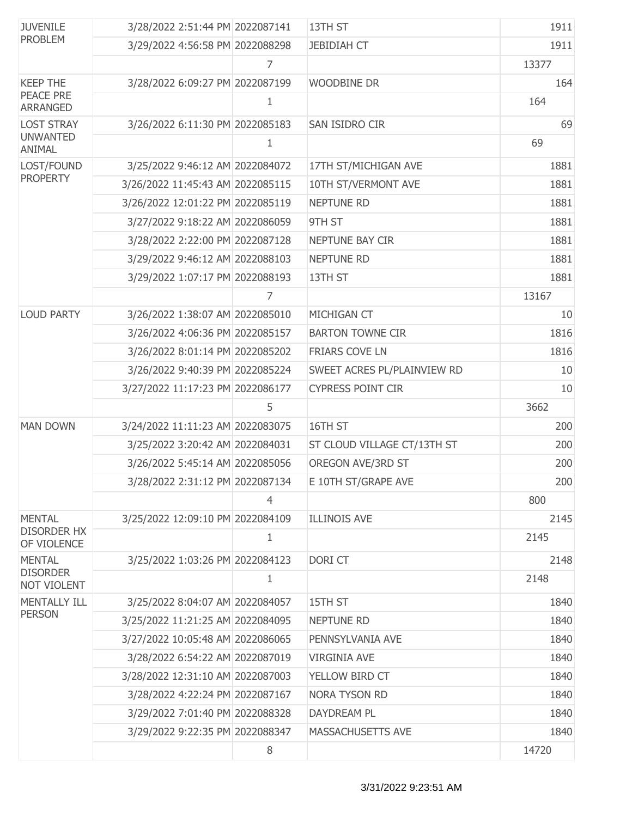| <b>JUVENILE</b>                     | 3/28/2022 2:51:44 PM 2022087141  |   | 13TH ST                     | 1911  |
|-------------------------------------|----------------------------------|---|-----------------------------|-------|
| <b>PROBLEM</b>                      | 3/29/2022 4:56:58 PM 2022088298  |   | <b>JEBIDIAH CT</b>          | 1911  |
|                                     |                                  | 7 |                             | 13377 |
| <b>KEEP THE</b>                     | 3/28/2022 6:09:27 PM 2022087199  |   | <b>WOODBINE DR</b>          | 164   |
| <b>PEACE PRE</b><br><b>ARRANGED</b> |                                  | 1 |                             | 164   |
| <b>LOST STRAY</b>                   | 3/26/2022 6:11:30 PM 2022085183  |   | SAN ISIDRO CIR              | 69    |
| <b>UNWANTED</b><br>ANIMAL           |                                  | 1 |                             | 69    |
| LOST/FOUND                          | 3/25/2022 9:46:12 AM 2022084072  |   | 17TH ST/MICHIGAN AVE        | 1881  |
| <b>PROPERTY</b>                     | 3/26/2022 11:45:43 AM 2022085115 |   | 10TH ST/VERMONT AVE         | 1881  |
|                                     | 3/26/2022 12:01:22 PM 2022085119 |   | <b>NEPTUNE RD</b>           | 1881  |
|                                     | 3/27/2022 9:18:22 AM 2022086059  |   | 9TH ST                      | 1881  |
|                                     | 3/28/2022 2:22:00 PM 2022087128  |   | NEPTUNE BAY CIR             | 1881  |
|                                     | 3/29/2022 9:46:12 AM 2022088103  |   | <b>NEPTUNE RD</b>           | 1881  |
|                                     | 3/29/2022 1:07:17 PM 2022088193  |   | 13TH ST                     | 1881  |
|                                     |                                  | 7 |                             | 13167 |
| <b>LOUD PARTY</b>                   | 3/26/2022 1:38:07 AM 2022085010  |   | MICHIGAN CT                 | 10    |
|                                     | 3/26/2022 4:06:36 PM 2022085157  |   | <b>BARTON TOWNE CIR</b>     | 1816  |
|                                     | 3/26/2022 8:01:14 PM 2022085202  |   | <b>FRIARS COVE LN</b>       | 1816  |
|                                     | 3/26/2022 9:40:39 PM 2022085224  |   | SWEET ACRES PL/PLAINVIEW RD | 10    |
|                                     | 3/27/2022 11:17:23 PM 2022086177 |   | <b>CYPRESS POINT CIR</b>    | 10    |
|                                     |                                  | 5 |                             | 3662  |
| <b>MAN DOWN</b>                     | 3/24/2022 11:11:23 AM 2022083075 |   | 16TH ST                     | 200   |
|                                     | 3/25/2022 3:20:42 AM 2022084031  |   | ST CLOUD VILLAGE CT/13TH ST | 200   |
|                                     | 3/26/2022 5:45:14 AM 2022085056  |   | OREGON AVE/3RD ST           | 200   |
|                                     | 3/28/2022 2:31:12 PM 2022087134  |   | E 10TH ST/GRAPE AVE         | 200   |
|                                     |                                  | 4 |                             | 800   |
| <b>MENTAL</b>                       | 3/25/2022 12:09:10 PM 2022084109 |   | <b>ILLINOIS AVE</b>         | 2145  |
| <b>DISORDER HX</b><br>OF VIOLENCE   |                                  | 1 |                             | 2145  |
| <b>MENTAL</b>                       | 3/25/2022 1:03:26 PM 2022084123  |   | DORI CT                     | 2148  |
| <b>DISORDER</b><br>NOT VIOLENT      |                                  | 1 |                             | 2148  |
| <b>MENTALLY ILL</b>                 | 3/25/2022 8:04:07 AM 2022084057  |   | 15TH ST                     | 1840  |
| <b>PERSON</b>                       | 3/25/2022 11:21:25 AM 2022084095 |   | <b>NEPTUNE RD</b>           | 1840  |
|                                     | 3/27/2022 10:05:48 AM 2022086065 |   | PENNSYLVANIA AVE            | 1840  |
|                                     | 3/28/2022 6:54:22 AM 2022087019  |   | <b>VIRGINIA AVE</b>         | 1840  |
|                                     | 3/28/2022 12:31:10 AM 2022087003 |   | YELLOW BIRD CT              | 1840  |
|                                     | 3/28/2022 4:22:24 PM 2022087167  |   | NORA TYSON RD               | 1840  |
|                                     | 3/29/2022 7:01:40 PM 2022088328  |   | DAYDREAM PL                 | 1840  |
|                                     | 3/29/2022 9:22:35 PM 2022088347  |   | MASSACHUSETTS AVE           | 1840  |
|                                     |                                  | 8 |                             | 14720 |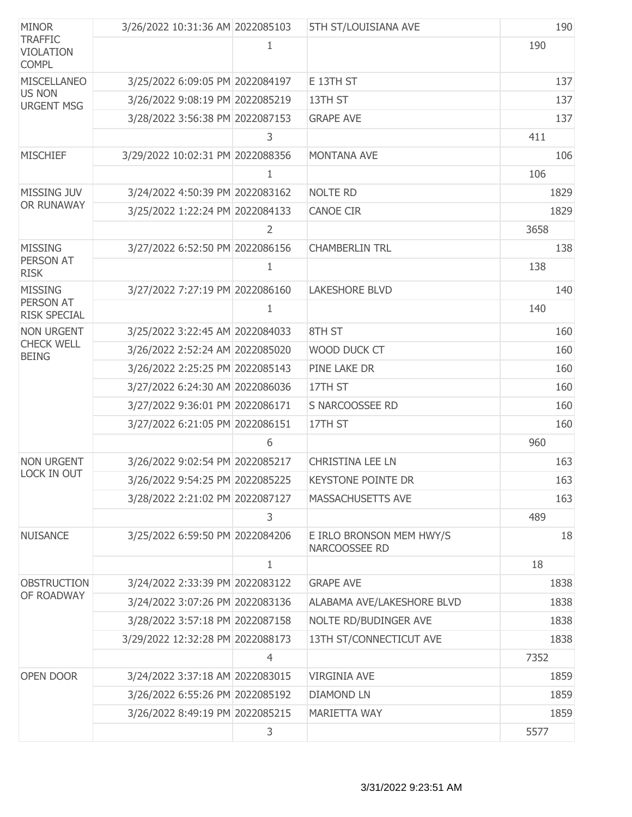| <b>MINOR</b>                                       | 3/26/2022 10:31:36 AM 2022085103 |                | 5TH ST/LOUISIANA AVE                      | 190  |
|----------------------------------------------------|----------------------------------|----------------|-------------------------------------------|------|
| <b>TRAFFIC</b><br><b>VIOLATION</b><br><b>COMPL</b> |                                  | 1              |                                           | 190  |
| <b>MISCELLANEO</b>                                 | 3/25/2022 6:09:05 PM 2022084197  |                | E 13TH ST                                 | 137  |
| <b>US NON</b><br><b>URGENT MSG</b>                 | 3/26/2022 9:08:19 PM 2022085219  |                | 13TH ST                                   | 137  |
|                                                    | 3/28/2022 3:56:38 PM 2022087153  |                | <b>GRAPE AVE</b>                          | 137  |
|                                                    |                                  | 3              |                                           | 411  |
| <b>MISCHIEF</b>                                    | 3/29/2022 10:02:31 PM 2022088356 |                | <b>MONTANA AVE</b>                        | 106  |
|                                                    |                                  | $\mathbf{1}$   |                                           | 106  |
| MISSING JUV                                        | 3/24/2022 4:50:39 PM 2022083162  |                | <b>NOLTE RD</b>                           | 1829 |
| OR RUNAWAY                                         | 3/25/2022 1:22:24 PM 2022084133  |                | <b>CANOE CIR</b>                          | 1829 |
|                                                    |                                  | 2              |                                           | 3658 |
| <b>MISSING</b>                                     | 3/27/2022 6:52:50 PM 2022086156  |                | <b>CHAMBERLIN TRL</b>                     | 138  |
| PERSON AT<br><b>RISK</b>                           |                                  | 1              |                                           | 138  |
| <b>MISSING</b>                                     | 3/27/2022 7:27:19 PM 2022086160  |                | <b>LAKESHORE BLVD</b>                     | 140  |
| PERSON AT<br><b>RISK SPECIAL</b>                   |                                  | $\mathbf{1}$   |                                           | 140  |
| <b>NON URGENT</b>                                  | 3/25/2022 3:22:45 AM 2022084033  |                | 8TH ST                                    | 160  |
| <b>CHECK WELL</b><br><b>BEING</b>                  | 3/26/2022 2:52:24 AM 2022085020  |                | WOOD DUCK CT                              | 160  |
|                                                    | 3/26/2022 2:25:25 PM 2022085143  |                | PINE LAKE DR                              | 160  |
|                                                    | 3/27/2022 6:24:30 AM 2022086036  |                | 17TH ST                                   | 160  |
|                                                    | 3/27/2022 9:36:01 PM 2022086171  |                | S NARCOOSSEE RD                           | 160  |
|                                                    | 3/27/2022 6:21:05 PM 2022086151  |                | 17TH ST                                   | 160  |
|                                                    |                                  | 6              |                                           | 960  |
| <b>NON URGENT</b>                                  | 3/26/2022 9:02:54 PM 2022085217  |                | <b>CHRISTINA LEE LN</b>                   | 163  |
| LOCK IN OUT                                        | 3/26/2022 9:54:25 PM 2022085225  |                | <b>KEYSTONE POINTE DR</b>                 | 163  |
|                                                    | 3/28/2022 2:21:02 PM 2022087127  |                | MASSACHUSETTS AVE                         | 163  |
|                                                    |                                  | 3              |                                           | 489  |
| <b>NUISANCE</b>                                    | 3/25/2022 6:59:50 PM 2022084206  |                | E IRLO BRONSON MEM HWY/S<br>NARCOOSSEE RD | 18   |
|                                                    |                                  | $\mathbf{1}$   |                                           | 18   |
| <b>OBSTRUCTION</b>                                 | 3/24/2022 2:33:39 PM 2022083122  |                | <b>GRAPE AVE</b>                          | 1838 |
| OF ROADWAY                                         | 3/24/2022 3:07:26 PM 2022083136  |                | ALABAMA AVE/LAKESHORE BLVD                | 1838 |
|                                                    | 3/28/2022 3:57:18 PM 2022087158  |                | NOLTE RD/BUDINGER AVE                     | 1838 |
|                                                    | 3/29/2022 12:32:28 PM 2022088173 |                | 13TH ST/CONNECTICUT AVE                   | 1838 |
|                                                    |                                  | $\overline{4}$ |                                           | 7352 |
| OPEN DOOR                                          | 3/24/2022 3:37:18 AM 2022083015  |                | <b>VIRGINIA AVE</b>                       | 1859 |
|                                                    | 3/26/2022 6:55:26 PM 2022085192  |                | <b>DIAMOND LN</b>                         | 1859 |
|                                                    | 3/26/2022 8:49:19 PM 2022085215  |                | <b>MARIETTA WAY</b>                       | 1859 |
|                                                    |                                  | 3              |                                           | 5577 |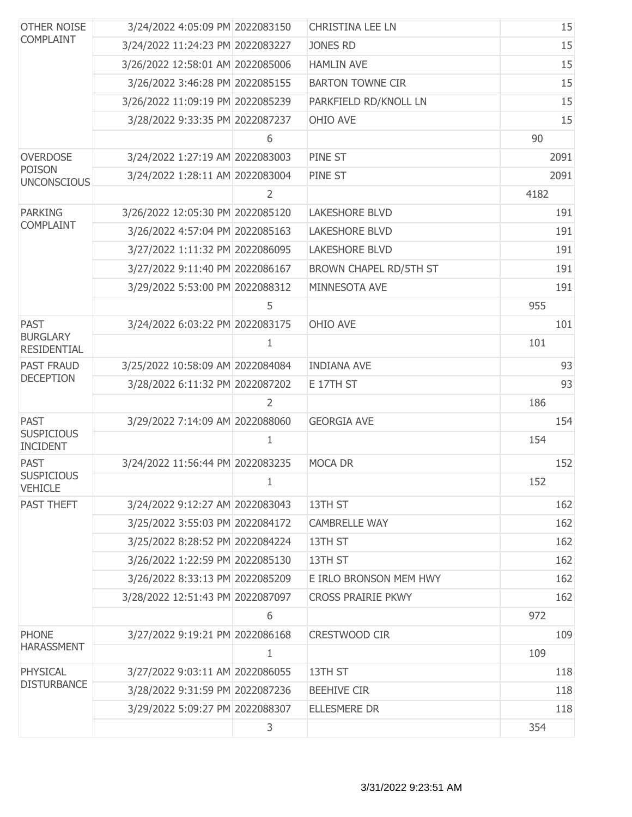| <b>OTHER NOISE</b><br><b>COMPLAINT</b> | 3/24/2022 4:05:09 PM 2022083150  |                | <b>CHRISTINA LEE LN</b>   |      | 15   |
|----------------------------------------|----------------------------------|----------------|---------------------------|------|------|
|                                        | 3/24/2022 11:24:23 PM 2022083227 |                | <b>JONES RD</b>           |      | 15   |
|                                        | 3/26/2022 12:58:01 AM 2022085006 |                | <b>HAMLIN AVE</b>         |      | 15   |
|                                        | 3/26/2022 3:46:28 PM 2022085155  |                | <b>BARTON TOWNE CIR</b>   |      | 15   |
|                                        | 3/26/2022 11:09:19 PM 2022085239 |                | PARKFIELD RD/KNOLL LN     |      | 15   |
|                                        | 3/28/2022 9:33:35 PM 2022087237  |                | OHIO AVE                  |      | 15   |
|                                        |                                  | 6              |                           | 90   |      |
| <b>OVERDOSE</b>                        | 3/24/2022 1:27:19 AM 2022083003  |                | PINE ST                   |      | 2091 |
| <b>POISON</b><br><b>UNCONSCIOUS</b>    | 3/24/2022 1:28:11 AM 2022083004  |                | PINE ST                   |      | 2091 |
|                                        |                                  | $\overline{2}$ |                           | 4182 |      |
| <b>PARKING</b>                         | 3/26/2022 12:05:30 PM 2022085120 |                | <b>LAKESHORE BLVD</b>     |      | 191  |
| <b>COMPLAINT</b>                       | 3/26/2022 4:57:04 PM 2022085163  |                | <b>LAKESHORE BLVD</b>     |      | 191  |
|                                        | 3/27/2022 1:11:32 PM 2022086095  |                | <b>LAKESHORE BLVD</b>     |      | 191  |
|                                        | 3/27/2022 9:11:40 PM 2022086167  |                | BROWN CHAPEL RD/5TH ST    |      | 191  |
|                                        | 3/29/2022 5:53:00 PM 2022088312  |                | MINNESOTA AVE             |      | 191  |
|                                        |                                  | 5              |                           | 955  |      |
| <b>PAST</b>                            | 3/24/2022 6:03:22 PM 2022083175  |                | OHIO AVE                  |      | 101  |
| <b>BURGLARY</b><br><b>RESIDENTIAL</b>  |                                  | 1              |                           | 101  |      |
| <b>PAST FRAUD</b>                      | 3/25/2022 10:58:09 AM 2022084084 |                | <b>INDIANA AVE</b>        |      | 93   |
| <b>DECEPTION</b>                       | 3/28/2022 6:11:32 PM 2022087202  |                | E 17TH ST                 |      | 93   |
|                                        |                                  | 2              |                           | 186  |      |
| <b>PAST</b>                            | 3/29/2022 7:14:09 AM 2022088060  |                | <b>GEORGIA AVE</b>        |      | 154  |
| <b>SUSPICIOUS</b><br><b>INCIDENT</b>   |                                  | 1              |                           | 154  |      |
| <b>PAST</b>                            | 3/24/2022 11:56:44 PM 2022083235 |                | <b>MOCA DR</b>            |      | 152  |
| <b>SUSPICIOUS</b><br><b>VEHICLE</b>    |                                  | 1              |                           | 152  |      |
| PAST THEFT                             | 3/24/2022 9:12:27 AM 2022083043  |                | 13TH ST                   |      | 162  |
|                                        | 3/25/2022 3:55:03 PM 2022084172  |                | <b>CAMBRELLE WAY</b>      |      | 162  |
|                                        | 3/25/2022 8:28:52 PM 2022084224  |                | 13TH ST                   |      | 162  |
|                                        | 3/26/2022 1:22:59 PM 2022085130  |                | 13TH ST                   |      | 162  |
|                                        | 3/26/2022 8:33:13 PM 2022085209  |                | E IRLO BRONSON MEM HWY    |      | 162  |
|                                        | 3/28/2022 12:51:43 PM 2022087097 |                | <b>CROSS PRAIRIE PKWY</b> |      | 162  |
|                                        |                                  | 6              |                           | 972  |      |
| <b>PHONE</b>                           | 3/27/2022 9:19:21 PM 2022086168  |                | CRESTWOOD CIR             |      | 109  |
| <b>HARASSMENT</b>                      |                                  | 1              |                           | 109  |      |
| PHYSICAL                               | 3/27/2022 9:03:11 AM 2022086055  |                | 13TH ST                   |      | 118  |
| <b>DISTURBANCE</b>                     | 3/28/2022 9:31:59 PM 2022087236  |                | <b>BEEHIVE CIR</b>        |      | 118  |
|                                        | 3/29/2022 5:09:27 PM 2022088307  |                | <b>ELLESMERE DR</b>       |      | 118  |
|                                        |                                  | 3              |                           | 354  |      |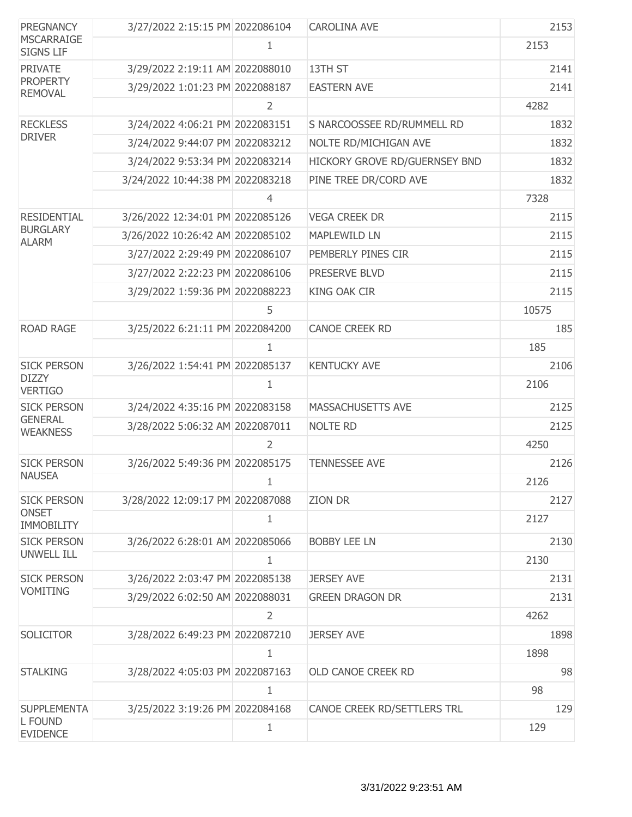| <b>PREGNANCY</b><br><b>MSCARRAIGE</b><br><b>SIGNS LIF</b> | 3/27/2022 2:15:15 PM 2022086104  |   | <b>CAROLINA AVE</b>           | 2153  |
|-----------------------------------------------------------|----------------------------------|---|-------------------------------|-------|
|                                                           |                                  | 1 |                               | 2153  |
| <b>PRIVATE</b>                                            | 3/29/2022 2:19:11 AM 2022088010  |   | 13TH ST                       | 2141  |
| <b>PROPERTY</b><br><b>REMOVAL</b>                         | 3/29/2022 1:01:23 PM 2022088187  |   | <b>EASTERN AVE</b>            | 2141  |
|                                                           |                                  | 2 |                               | 4282  |
| <b>RECKLESS</b>                                           | 3/24/2022 4:06:21 PM 2022083151  |   | S NARCOOSSEE RD/RUMMELL RD    | 1832  |
| <b>DRIVER</b>                                             | 3/24/2022 9:44:07 PM 2022083212  |   | NOLTE RD/MICHIGAN AVE         | 1832  |
|                                                           | 3/24/2022 9:53:34 PM 2022083214  |   | HICKORY GROVE RD/GUERNSEY BND | 1832  |
|                                                           | 3/24/2022 10:44:38 PM 2022083218 |   | PINE TREE DR/CORD AVE         | 1832  |
|                                                           |                                  | 4 |                               | 7328  |
| <b>RESIDENTIAL</b>                                        | 3/26/2022 12:34:01 PM 2022085126 |   | <b>VEGA CREEK DR</b>          | 2115  |
| <b>BURGLARY</b><br><b>ALARM</b>                           | 3/26/2022 10:26:42 AM 2022085102 |   | <b>MAPLEWILD LN</b>           | 2115  |
|                                                           | 3/27/2022 2:29:49 PM 2022086107  |   | PEMBERLY PINES CIR            | 2115  |
|                                                           | 3/27/2022 2:22:23 PM 2022086106  |   | PRESERVE BLVD                 | 2115  |
|                                                           | 3/29/2022 1:59:36 PM 2022088223  |   | <b>KING OAK CIR</b>           | 2115  |
|                                                           |                                  | 5 |                               | 10575 |
| <b>ROAD RAGE</b>                                          | 3/25/2022 6:21:11 PM 2022084200  |   | <b>CANOE CREEK RD</b>         | 185   |
|                                                           |                                  | 1 |                               | 185   |
| <b>SICK PERSON</b>                                        | 3/26/2022 1:54:41 PM 2022085137  |   | <b>KENTUCKY AVE</b>           | 2106  |
| <b>DIZZY</b><br><b>VERTIGO</b>                            |                                  | 1 |                               | 2106  |
| <b>SICK PERSON</b>                                        | 3/24/2022 4:35:16 PM 2022083158  |   | MASSACHUSETTS AVE             | 2125  |
| <b>GENERAL</b><br><b>WEAKNESS</b>                         | 3/28/2022 5:06:32 AM 2022087011  |   | <b>NOLTE RD</b>               | 2125  |
|                                                           |                                  | 2 |                               | 4250  |
| <b>SICK PERSON</b>                                        | 3/26/2022 5:49:36 PM 2022085175  |   | <b>TENNESSEE AVE</b>          | 2126  |
| <b>NAUSEA</b>                                             |                                  |   |                               | 2126  |
| <b>SICK PERSON</b>                                        | 3/28/2022 12:09:17 PM 2022087088 |   | <b>ZION DR</b>                | 2127  |
| <b>ONSET</b><br><b>IMMOBILITY</b>                         |                                  | 1 |                               | 2127  |
| <b>SICK PERSON</b>                                        | 3/26/2022 6:28:01 AM 2022085066  |   | <b>BOBBY LEE LN</b>           | 2130  |
| <b>UNWELL ILL</b>                                         |                                  | 1 |                               | 2130  |
| <b>SICK PERSON</b>                                        | 3/26/2022 2:03:47 PM 2022085138  |   | <b>JERSEY AVE</b>             | 2131  |
| <b>VOMITING</b>                                           | 3/29/2022 6:02:50 AM 2022088031  |   | <b>GREEN DRAGON DR</b>        | 2131  |
|                                                           |                                  | 2 |                               | 4262  |
| <b>SOLICITOR</b>                                          | 3/28/2022 6:49:23 PM 2022087210  |   | <b>JERSEY AVE</b>             | 1898  |
|                                                           |                                  | 1 |                               | 1898  |
| <b>STALKING</b>                                           | 3/28/2022 4:05:03 PM 2022087163  |   | OLD CANOE CREEK RD            | 98    |
|                                                           |                                  | 1 |                               | 98    |
| <b>SUPPLEMENTA</b>                                        | 3/25/2022 3:19:26 PM 2022084168  |   | CANOE CREEK RD/SETTLERS TRL   | 129   |
| L FOUND<br><b>EVIDENCE</b>                                |                                  | 1 |                               | 129   |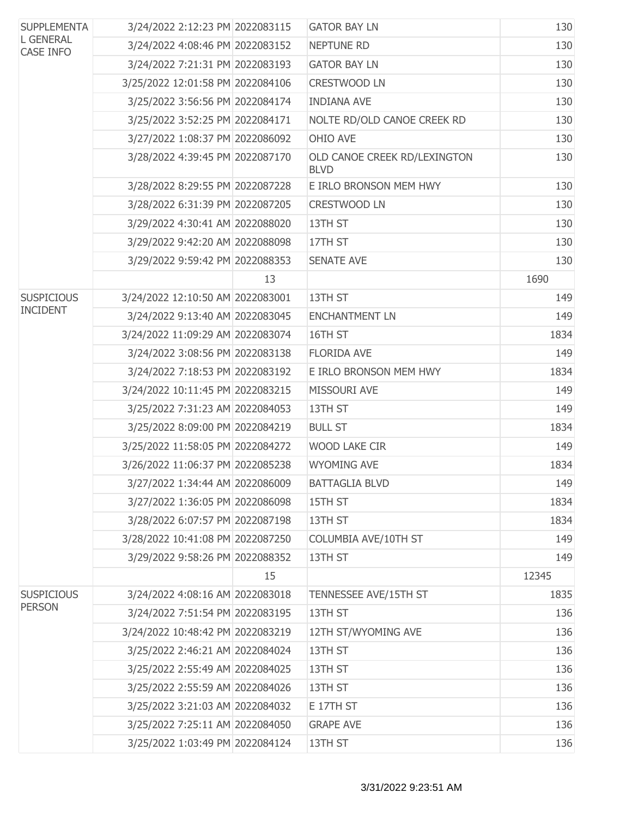| <b>SUPPLEMENTA</b><br><b>L GENERAL</b><br><b>CASE INFO</b> | 3/24/2022 2:12:23 PM 2022083115  |    | <b>GATOR BAY LN</b>                         | 130   |
|------------------------------------------------------------|----------------------------------|----|---------------------------------------------|-------|
|                                                            | 3/24/2022 4:08:46 PM 2022083152  |    | NEPTUNE RD                                  | 130   |
|                                                            | 3/24/2022 7:21:31 PM 2022083193  |    | <b>GATOR BAY LN</b>                         | 130   |
|                                                            | 3/25/2022 12:01:58 PM 2022084106 |    | <b>CRESTWOOD LN</b>                         | 130   |
|                                                            | 3/25/2022 3:56:56 PM 2022084174  |    | <b>INDIANA AVE</b>                          | 130   |
|                                                            | 3/25/2022 3:52:25 PM 2022084171  |    | NOLTE RD/OLD CANOE CREEK RD                 | 130   |
|                                                            | 3/27/2022 1:08:37 PM 2022086092  |    | OHIO AVE                                    | 130   |
|                                                            | 3/28/2022 4:39:45 PM 2022087170  |    | OLD CANOE CREEK RD/LEXINGTON<br><b>BLVD</b> | 130   |
|                                                            | 3/28/2022 8:29:55 PM 2022087228  |    | E IRLO BRONSON MEM HWY                      | 130   |
|                                                            | 3/28/2022 6:31:39 PM 2022087205  |    | <b>CRESTWOOD LN</b>                         | 130   |
|                                                            | 3/29/2022 4:30:41 AM 2022088020  |    | 13TH ST                                     | 130   |
|                                                            | 3/29/2022 9:42:20 AM 2022088098  |    | 17TH ST                                     | 130   |
|                                                            | 3/29/2022 9:59:42 PM 2022088353  |    | <b>SENATE AVE</b>                           | 130   |
|                                                            |                                  | 13 |                                             | 1690  |
| <b>SUSPICIOUS</b>                                          | 3/24/2022 12:10:50 AM 2022083001 |    | 13TH ST                                     | 149   |
| <b>INCIDENT</b>                                            | 3/24/2022 9:13:40 AM 2022083045  |    | <b>ENCHANTMENT LN</b>                       | 149   |
|                                                            | 3/24/2022 11:09:29 AM 2022083074 |    | 16TH ST                                     | 1834  |
|                                                            | 3/24/2022 3:08:56 PM 2022083138  |    | <b>FLORIDA AVE</b>                          | 149   |
|                                                            | 3/24/2022 7:18:53 PM 2022083192  |    | E IRLO BRONSON MEM HWY                      | 1834  |
|                                                            | 3/24/2022 10:11:45 PM 2022083215 |    | MISSOURI AVE                                | 149   |
|                                                            | 3/25/2022 7:31:23 AM 2022084053  |    | 13TH ST                                     | 149   |
|                                                            | 3/25/2022 8:09:00 PM 2022084219  |    | <b>BULL ST</b>                              | 1834  |
|                                                            | 3/25/2022 11:58:05 PM 2022084272 |    | WOOD LAKE CIR                               | 149   |
|                                                            | 3/26/2022 11:06:37 PM 2022085238 |    | <b>WYOMING AVE</b>                          | 1834  |
|                                                            | 3/27/2022 1:34:44 AM 2022086009  |    | <b>BATTAGLIA BLVD</b>                       | 149   |
|                                                            | 3/27/2022 1:36:05 PM 2022086098  |    | 15TH ST                                     | 1834  |
|                                                            | 3/28/2022 6:07:57 PM 2022087198  |    | 13TH ST                                     | 1834  |
|                                                            | 3/28/2022 10:41:08 PM 2022087250 |    | COLUMBIA AVE/10TH ST                        | 149   |
|                                                            | 3/29/2022 9:58:26 PM 2022088352  |    | 13TH ST                                     | 149   |
|                                                            |                                  | 15 |                                             | 12345 |
| <b>SUSPICIOUS</b>                                          | 3/24/2022 4:08:16 AM 2022083018  |    | TENNESSEE AVE/15TH ST                       | 1835  |
| <b>PERSON</b>                                              | 3/24/2022 7:51:54 PM 2022083195  |    | 13TH ST                                     | 136   |
|                                                            | 3/24/2022 10:48:42 PM 2022083219 |    | 12TH ST/WYOMING AVE                         | 136   |
|                                                            | 3/25/2022 2:46:21 AM 2022084024  |    | 13TH ST                                     | 136   |
|                                                            | 3/25/2022 2:55:49 AM 2022084025  |    | 13TH ST                                     | 136   |
|                                                            | 3/25/2022 2:55:59 AM 2022084026  |    | 13TH ST                                     | 136   |
|                                                            | 3/25/2022 3:21:03 AM 2022084032  |    | E 17TH ST                                   | 136   |
|                                                            | 3/25/2022 7:25:11 AM 2022084050  |    | <b>GRAPE AVE</b>                            | 136   |
|                                                            | 3/25/2022 1:03:49 PM 2022084124  |    | 13TH ST                                     | 136   |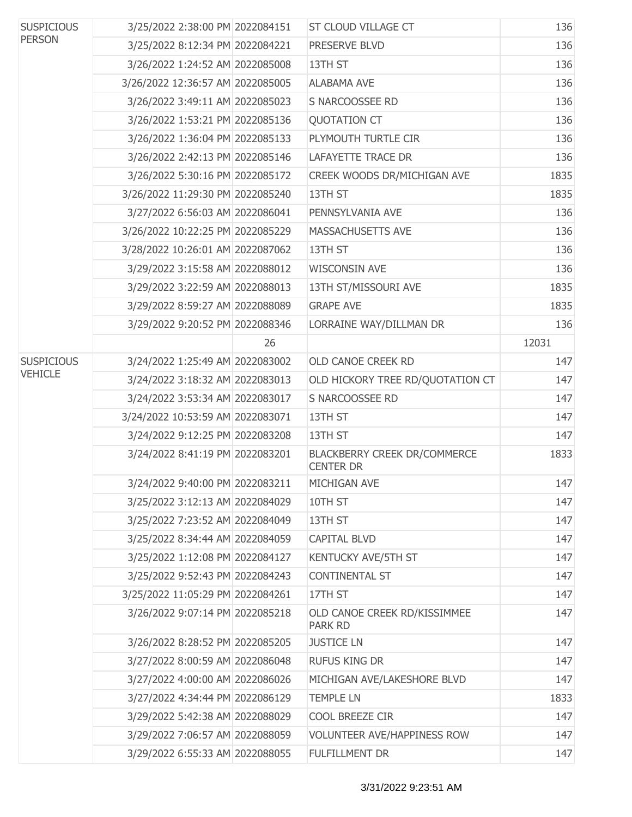| <b>SUSPICIOUS</b><br><b>PERSON</b> | 3/25/2022 2:38:00 PM 2022084151  |    | <b>ST CLOUD VILLAGE CT</b>                              | 136   |
|------------------------------------|----------------------------------|----|---------------------------------------------------------|-------|
|                                    | 3/25/2022 8:12:34 PM 2022084221  |    | PRESERVE BLVD                                           | 136   |
|                                    | 3/26/2022 1:24:52 AM 2022085008  |    | 13TH ST                                                 | 136   |
|                                    | 3/26/2022 12:36:57 AM 2022085005 |    | <b>ALABAMA AVE</b>                                      | 136   |
|                                    | 3/26/2022 3:49:11 AM 2022085023  |    | S NARCOOSSEE RD                                         | 136   |
|                                    | 3/26/2022 1:53:21 PM 2022085136  |    | <b>QUOTATION CT</b>                                     | 136   |
|                                    | 3/26/2022 1:36:04 PM 2022085133  |    | PLYMOUTH TURTLE CIR                                     | 136   |
|                                    | 3/26/2022 2:42:13 PM 2022085146  |    | <b>LAFAYETTE TRACE DR</b>                               | 136   |
|                                    | 3/26/2022 5:30:16 PM 2022085172  |    | CREEK WOODS DR/MICHIGAN AVE                             | 1835  |
|                                    | 3/26/2022 11:29:30 PM 2022085240 |    | 13TH ST                                                 | 1835  |
|                                    | 3/27/2022 6:56:03 AM 2022086041  |    | PENNSYLVANIA AVE                                        | 136   |
|                                    | 3/26/2022 10:22:25 PM 2022085229 |    | MASSACHUSETTS AVE                                       | 136   |
|                                    | 3/28/2022 10:26:01 AM 2022087062 |    | 13TH ST                                                 | 136   |
|                                    | 3/29/2022 3:15:58 AM 2022088012  |    | <b>WISCONSIN AVE</b>                                    | 136   |
|                                    | 3/29/2022 3:22:59 AM 2022088013  |    | 13TH ST/MISSOURI AVE                                    | 1835  |
|                                    | 3/29/2022 8:59:27 AM 2022088089  |    | <b>GRAPE AVE</b>                                        | 1835  |
|                                    | 3/29/2022 9:20:52 PM 2022088346  |    | LORRAINE WAY/DILLMAN DR                                 | 136   |
|                                    |                                  | 26 |                                                         | 12031 |
| <b>SUSPICIOUS</b>                  | 3/24/2022 1:25:49 AM 2022083002  |    | OLD CANOE CREEK RD                                      | 147   |
| <b>VEHICLE</b>                     | 3/24/2022 3:18:32 AM 2022083013  |    | OLD HICKORY TREE RD/QUOTATION CT                        | 147   |
|                                    | 3/24/2022 3:53:34 AM 2022083017  |    | S NARCOOSSEE RD                                         | 147   |
|                                    | 3/24/2022 10:53:59 AM 2022083071 |    | 13TH ST                                                 | 147   |
|                                    | 3/24/2022 9:12:25 PM 2022083208  |    | 13TH ST                                                 | 147   |
|                                    | 3/24/2022 8:41:19 PM 2022083201  |    | <b>BLACKBERRY CREEK DR/COMMERCE</b><br><b>CENTER DR</b> | 1833  |
|                                    | 3/24/2022 9:40:00 PM 2022083211  |    | MICHIGAN AVE                                            | 147   |
|                                    | 3/25/2022 3:12:13 AM 2022084029  |    | 10TH ST                                                 | 147   |
|                                    | 3/25/2022 7:23:52 AM 2022084049  |    | 13TH ST                                                 | 147   |
|                                    | 3/25/2022 8:34:44 AM 2022084059  |    | <b>CAPITAL BLVD</b>                                     | 147   |
|                                    | 3/25/2022 1:12:08 PM 2022084127  |    | KENTUCKY AVE/5TH ST                                     | 147   |
|                                    | 3/25/2022 9:52:43 PM 2022084243  |    | <b>CONTINENTAL ST</b>                                   | 147   |
|                                    | 3/25/2022 11:05:29 PM 2022084261 |    | 17TH ST                                                 | 147   |
|                                    | 3/26/2022 9:07:14 PM 2022085218  |    | OLD CANOE CREEK RD/KISSIMMEE<br><b>PARK RD</b>          | 147   |
|                                    | 3/26/2022 8:28:52 PM 2022085205  |    | <b>JUSTICE LN</b>                                       | 147   |
|                                    | 3/27/2022 8:00:59 AM 2022086048  |    | <b>RUFUS KING DR</b>                                    | 147   |
|                                    | 3/27/2022 4:00:00 AM 2022086026  |    | MICHIGAN AVE/LAKESHORE BLVD                             | 147   |
|                                    | 3/27/2022 4:34:44 PM 2022086129  |    | <b>TEMPLE LN</b>                                        | 1833  |
|                                    | 3/29/2022 5:42:38 AM 2022088029  |    | COOL BREEZE CIR                                         | 147   |
|                                    | 3/29/2022 7:06:57 AM 2022088059  |    | <b>VOLUNTEER AVE/HAPPINESS ROW</b>                      | 147   |
|                                    | 3/29/2022 6:55:33 AM 2022088055  |    | FULFILLMENT DR                                          | 147   |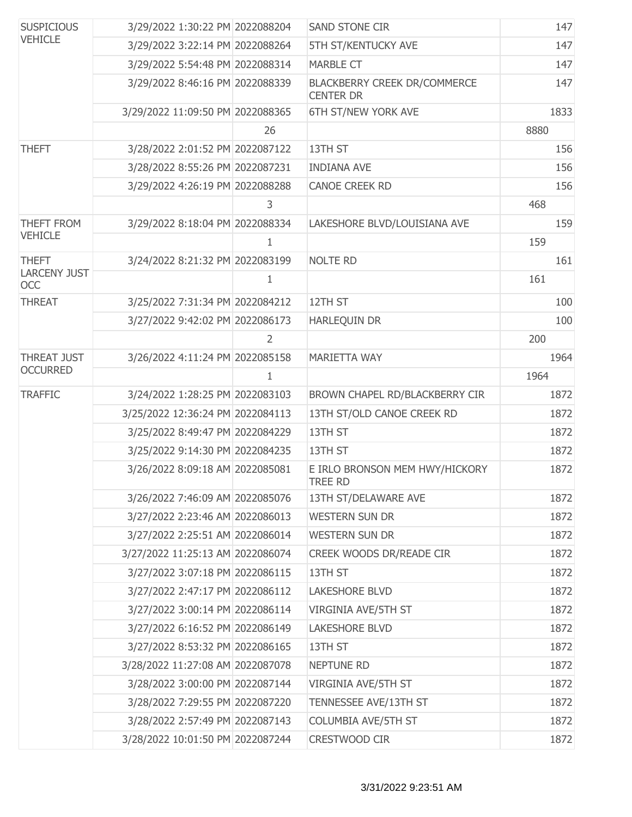| <b>SUSPICIOUS</b><br><b>VEHICLE</b> | 3/29/2022 1:30:22 PM 2022088204  |    | <b>SAND STONE CIR</b>                                   | 147  |
|-------------------------------------|----------------------------------|----|---------------------------------------------------------|------|
|                                     | 3/29/2022 3:22:14 PM 2022088264  |    | 5TH ST/KENTUCKY AVE                                     | 147  |
|                                     | 3/29/2022 5:54:48 PM 2022088314  |    | <b>MARBLE CT</b>                                        | 147  |
|                                     | 3/29/2022 8:46:16 PM 2022088339  |    | <b>BLACKBERRY CREEK DR/COMMERCE</b><br><b>CENTER DR</b> | 147  |
|                                     | 3/29/2022 11:09:50 PM 2022088365 |    | 6TH ST/NEW YORK AVE                                     | 1833 |
|                                     |                                  | 26 |                                                         | 8880 |
| <b>THEFT</b>                        | 3/28/2022 2:01:52 PM 2022087122  |    | 13TH ST                                                 | 156  |
|                                     | 3/28/2022 8:55:26 PM 2022087231  |    | <b>INDIANA AVE</b>                                      | 156  |
|                                     | 3/29/2022 4:26:19 PM 2022088288  |    | <b>CANOE CREEK RD</b>                                   | 156  |
|                                     |                                  | 3  |                                                         | 468  |
| THEFT FROM                          | 3/29/2022 8:18:04 PM 2022088334  |    | LAKESHORE BLVD/LOUISIANA AVE                            | 159  |
| <b>VEHICLE</b>                      |                                  | 1  |                                                         | 159  |
| <b>THEFT</b>                        | 3/24/2022 8:21:32 PM 2022083199  |    | <b>NOLTE RD</b>                                         | 161  |
| <b>LARCENY JUST</b><br><b>OCC</b>   |                                  | 1  |                                                         | 161  |
| <b>THREAT</b>                       | 3/25/2022 7:31:34 PM 2022084212  |    | 12TH ST                                                 | 100  |
|                                     | 3/27/2022 9:42:02 PM 2022086173  |    | HARLEQUIN DR                                            | 100  |
|                                     |                                  | 2  |                                                         | 200  |
| <b>THREAT JUST</b>                  | 3/26/2022 4:11:24 PM 2022085158  |    | MARIETTA WAY                                            | 1964 |
| <b>OCCURRED</b>                     |                                  | 1  |                                                         | 1964 |
| <b>TRAFFIC</b>                      | 3/24/2022 1:28:25 PM 2022083103  |    | BROWN CHAPEL RD/BLACKBERRY CIR                          | 1872 |
|                                     | 3/25/2022 12:36:24 PM 2022084113 |    | 13TH ST/OLD CANOE CREEK RD                              | 1872 |
|                                     | 3/25/2022 8:49:47 PM 2022084229  |    | 13TH ST                                                 | 1872 |
|                                     | 3/25/2022 9:14:30 PM 2022084235  |    | 13TH ST                                                 | 1872 |
|                                     | 3/26/2022 8:09:18 AM 2022085081  |    | E IRLO BRONSON MEM HWY/HICKORY<br>TREE RD               | 1872 |
|                                     | 3/26/2022 7:46:09 AM 2022085076  |    | 13TH ST/DELAWARE AVE                                    | 1872 |
|                                     | 3/27/2022 2:23:46 AM 2022086013  |    | <b>WESTERN SUN DR</b>                                   | 1872 |
|                                     | 3/27/2022 2:25:51 AM 2022086014  |    | <b>WESTERN SUN DR</b>                                   | 1872 |
|                                     | 3/27/2022 11:25:13 AM 2022086074 |    | CREEK WOODS DR/READE CIR                                | 1872 |
|                                     | 3/27/2022 3:07:18 PM 2022086115  |    | 13TH ST                                                 | 1872 |
|                                     | 3/27/2022 2:47:17 PM 2022086112  |    | <b>LAKESHORE BLVD</b>                                   | 1872 |
|                                     | 3/27/2022 3:00:14 PM 2022086114  |    | <b>VIRGINIA AVE/5TH ST</b>                              | 1872 |
|                                     | 3/27/2022 6:16:52 PM 2022086149  |    | <b>LAKESHORE BLVD</b>                                   | 1872 |
|                                     | 3/27/2022 8:53:32 PM 2022086165  |    | 13TH ST                                                 | 1872 |
|                                     | 3/28/2022 11:27:08 AM 2022087078 |    | <b>NEPTUNE RD</b>                                       | 1872 |
|                                     | 3/28/2022 3:00:00 PM 2022087144  |    | VIRGINIA AVE/5TH ST                                     | 1872 |
|                                     | 3/28/2022 7:29:55 PM 2022087220  |    | TENNESSEE AVE/13TH ST                                   | 1872 |
|                                     | 3/28/2022 2:57:49 PM 2022087143  |    | COLUMBIA AVE/5TH ST                                     | 1872 |
|                                     | 3/28/2022 10:01:50 PM 2022087244 |    | CRESTWOOD CIR                                           | 1872 |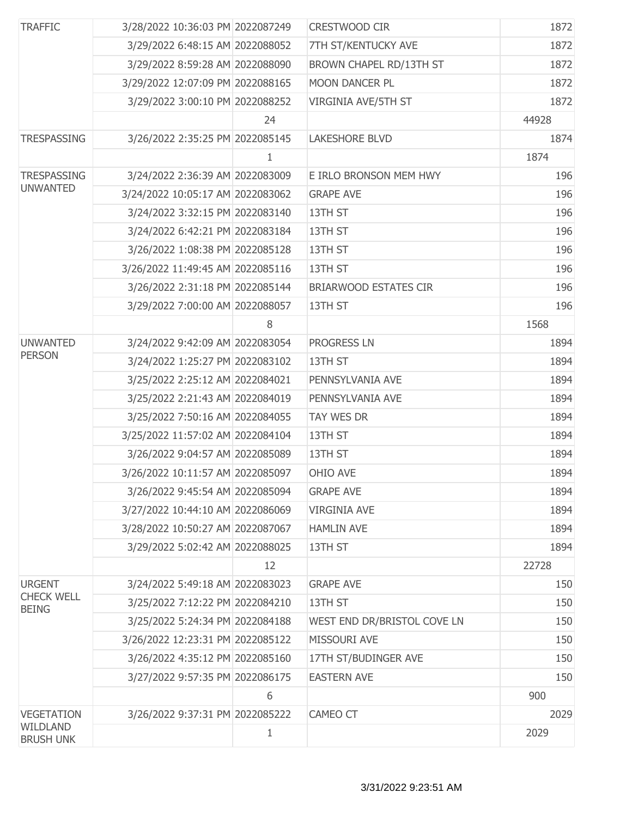| <b>TRAFFIC</b>                    | 3/28/2022 10:36:03 PM 2022087249 |    | <b>CRESTWOOD CIR</b>           | 1872  |
|-----------------------------------|----------------------------------|----|--------------------------------|-------|
|                                   | 3/29/2022 6:48:15 AM 2022088052  |    | 7TH ST/KENTUCKY AVE            | 1872  |
|                                   | 3/29/2022 8:59:28 AM 2022088090  |    | <b>BROWN CHAPEL RD/13TH ST</b> | 1872  |
|                                   | 3/29/2022 12:07:09 PM 2022088165 |    | <b>MOON DANCER PL</b>          | 1872  |
|                                   | 3/29/2022 3:00:10 PM 2022088252  |    | VIRGINIA AVE/5TH ST            | 1872  |
|                                   |                                  | 24 |                                | 44928 |
| <b>TRESPASSING</b>                | 3/26/2022 2:35:25 PM 2022085145  |    | <b>LAKESHORE BLVD</b>          | 1874  |
|                                   |                                  | 1  |                                | 1874  |
| <b>TRESPASSING</b>                | 3/24/2022 2:36:39 AM 2022083009  |    | E IRLO BRONSON MEM HWY         | 196   |
| <b>UNWANTED</b>                   | 3/24/2022 10:05:17 AM 2022083062 |    | <b>GRAPE AVE</b>               | 196   |
|                                   | 3/24/2022 3:32:15 PM 2022083140  |    | 13TH ST                        | 196   |
|                                   | 3/24/2022 6:42:21 PM 2022083184  |    | 13TH ST                        | 196   |
|                                   | 3/26/2022 1:08:38 PM 2022085128  |    | 13TH ST                        | 196   |
|                                   | 3/26/2022 11:49:45 AM 2022085116 |    | 13TH ST                        | 196   |
|                                   | 3/26/2022 2:31:18 PM 2022085144  |    | <b>BRIARWOOD ESTATES CIR</b>   | 196   |
|                                   | 3/29/2022 7:00:00 AM 2022088057  |    | 13TH ST                        | 196   |
|                                   |                                  | 8  |                                | 1568  |
| <b>UNWANTED</b>                   | 3/24/2022 9:42:09 AM 2022083054  |    | PROGRESS LN                    | 1894  |
| <b>PERSON</b>                     | 3/24/2022 1:25:27 PM 2022083102  |    | 13TH ST                        | 1894  |
|                                   | 3/25/2022 2:25:12 AM 2022084021  |    | PENNSYLVANIA AVE               | 1894  |
|                                   | 3/25/2022 2:21:43 AM 2022084019  |    | PENNSYLVANIA AVE               | 1894  |
|                                   | 3/25/2022 7:50:16 AM 2022084055  |    | <b>TAY WES DR</b>              | 1894  |
|                                   | 3/25/2022 11:57:02 AM 2022084104 |    | 13TH ST                        | 1894  |
|                                   | 3/26/2022 9:04:57 AM 2022085089  |    | 13TH ST                        | 1894  |
|                                   | 3/26/2022 10:11:57 AM 2022085097 |    | OHIO AVE                       | 1894  |
|                                   | 3/26/2022 9:45:54 AM 2022085094  |    | <b>GRAPE AVE</b>               | 1894  |
|                                   | 3/27/2022 10:44:10 AM 2022086069 |    | <b>VIRGINIA AVE</b>            | 1894  |
|                                   | 3/28/2022 10:50:27 AM 2022087067 |    | <b>HAMLIN AVE</b>              | 1894  |
|                                   | 3/29/2022 5:02:42 AM 2022088025  |    | 13TH ST                        | 1894  |
|                                   |                                  | 12 |                                | 22728 |
| <b>URGENT</b>                     | 3/24/2022 5:49:18 AM 2022083023  |    | <b>GRAPE AVE</b>               | 150   |
| <b>CHECK WELL</b><br><b>BEING</b> | 3/25/2022 7:12:22 PM 2022084210  |    | 13TH ST                        | 150   |
|                                   | 3/25/2022 5:24:34 PM 2022084188  |    | WEST END DR/BRISTOL COVE LN    | 150   |
|                                   | 3/26/2022 12:23:31 PM 2022085122 |    | MISSOURI AVE                   | 150   |
|                                   | 3/26/2022 4:35:12 PM 2022085160  |    | 17TH ST/BUDINGER AVE           | 150   |
|                                   | 3/27/2022 9:57:35 PM 2022086175  |    | <b>EASTERN AVE</b>             | 150   |
|                                   |                                  | 6  |                                | 900   |
| <b>VEGETATION</b>                 | 3/26/2022 9:37:31 PM 2022085222  |    | CAMEO CT                       | 2029  |
| WILDLAND<br><b>BRUSH UNK</b>      |                                  | 1  |                                | 2029  |